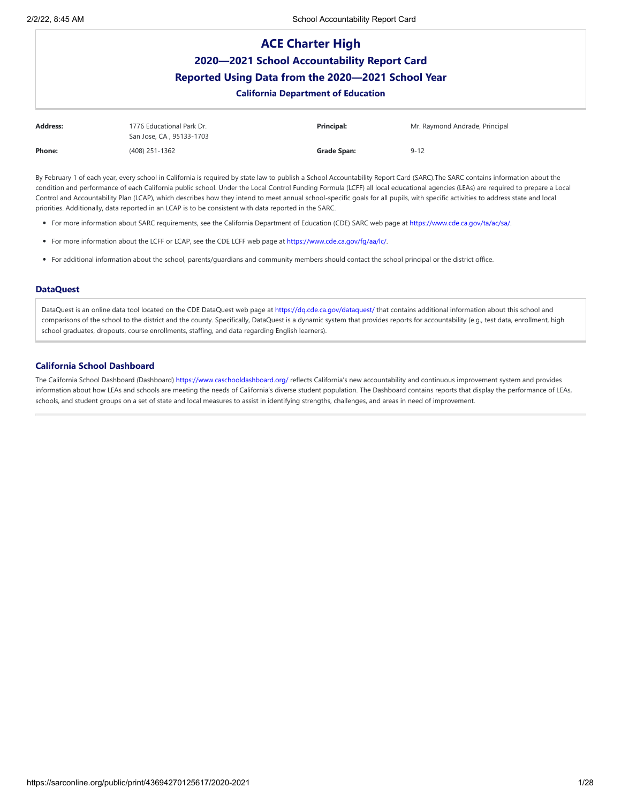# **ACE Charter High 2020—2021 School Accountability Report Card Reported Using Data from the 2020—2021 School Year California Department of Education**

| <b>Address:</b> | 1776 Educational Park Dr.<br>San Jose, CA, 95133-1703 | Principal:  | Mr. Raymond Andrade, Principal |
|-----------------|-------------------------------------------------------|-------------|--------------------------------|
| Phone:          | (408) 251-1362                                        | Grade Span: | $9 - 12$                       |

By February 1 of each year, every school in California is required by state law to publish a School Accountability Report Card (SARC).The SARC contains information about the condition and performance of each California public school. Under the Local Control Funding Formula (LCFF) all local educational agencies (LEAs) are required to prepare a Local Control and Accountability Plan (LCAP), which describes how they intend to meet annual school-specific goals for all pupils, with specific activities to address state and local priorities. Additionally, data reported in an LCAP is to be consistent with data reported in the SARC.

- For more information about SARC requirements, see the California Department of Education (CDE) SARC web page at <https://www.cde.ca.gov/ta/ac/sa/>.
- For more information about the LCFF or LCAP, see the CDE LCFF web page at <https://www.cde.ca.gov/fg/aa/lc/>.
- For additional information about the school, parents/guardians and community members should contact the school principal or the district office.

# **DataQuest**

DataQuest is an online data tool located on the CDE DataQuest web page at <https://dq.cde.ca.gov/dataquest/> that contains additional information about this school and comparisons of the school to the district and the county. Specifically, DataQuest is a dynamic system that provides reports for accountability (e.g., test data, enrollment, high school graduates, dropouts, course enrollments, staffing, and data regarding English learners).

## **California School Dashboard**

The California School Dashboard (Dashboard) <https://www.caschooldashboard.org/> reflects California's new accountability and continuous improvement system and provides information about how LEAs and schools are meeting the needs of California's diverse student population. The Dashboard contains reports that display the performance of LEAs, schools, and student groups on a set of state and local measures to assist in identifying strengths, challenges, and areas in need of improvement.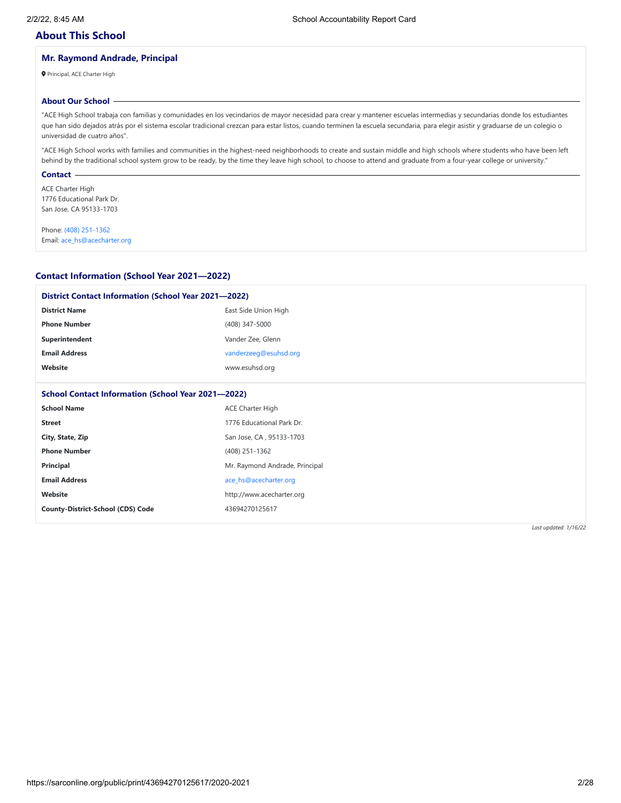# **About This School**

## **Mr. Raymond Andrade, Principal**

Principal, ACE Charter High

# **About Our School**

"ACE High School trabaja con familias y comunidades en los vecindarios de mayor necesidad para crear y mantener escuelas intermedias y secundarias donde los estudiantes que han sido dejados atrás por el sistema escolar tradicional crezcan para estar listos, cuando terminen la escuela secundaria, para elegir asistir y graduarse de un colegio o universidad de cuatro años".

"ACE High School works with families and communities in the highest-need neighborhoods to create and sustain middle and high schools where students who have been left behind by the traditional school system grow to be ready, by the time they leave high school, to choose to attend and graduate from a four-year college or university."

# **Contact**

ACE Charter High 1776 Educational Park Dr. San Jose, CA 95133-1703

Phone: (408) [251-1362](tel:(408) 251-1362) Email: [ace\\_hs@acecharter.org](mailto:ace_hs@acecharter.org)

## **Contact Information (School Year 2021—2022)**

| <b>District Contact Information (School Year 2021-2022)</b> |                                |
|-------------------------------------------------------------|--------------------------------|
| <b>District Name</b>                                        | East Side Union High           |
| <b>Phone Number</b>                                         | (408) 347-5000                 |
| Superintendent                                              | Vander Zee, Glenn              |
| <b>Email Address</b>                                        | vanderzeeg@esuhsd.org          |
| Website                                                     | www.esuhsd.org                 |
| <b>School Contact Information (School Year 2021-2022)</b>   |                                |
| <b>School Name</b>                                          | ACE Charter High               |
| <b>Street</b>                                               | 1776 Educational Park Dr.      |
| City, State, Zip                                            | San Jose, CA, 95133-1703       |
| <b>Phone Number</b>                                         | (408) 251-1362                 |
| Principal                                                   | Mr. Raymond Andrade, Principal |
| <b>Email Address</b>                                        | ace_hs@acecharter.org          |
| Website                                                     | http://www.acecharter.org      |
| <b>County-District-School (CDS) Code</b>                    | 43694270125617                 |
|                                                             | $1$ ast undertade 1/16/22      |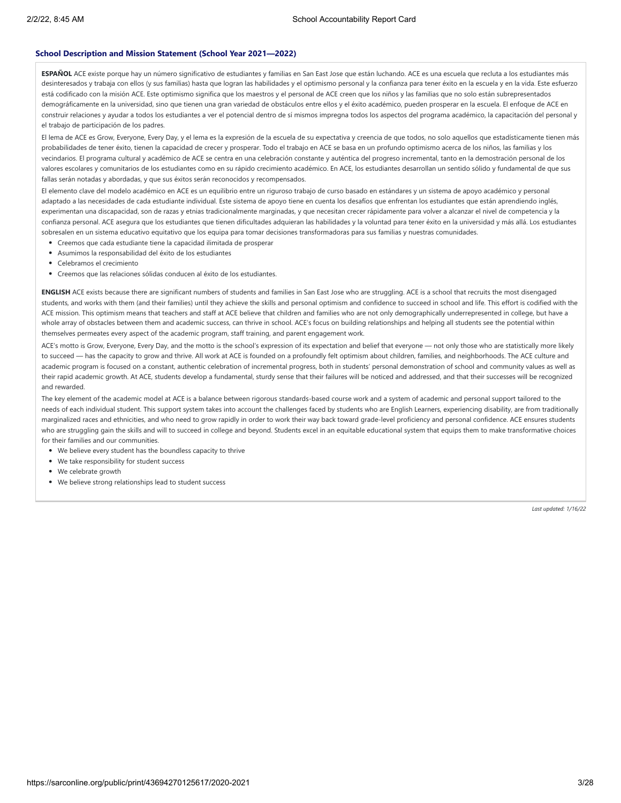## **School Description and Mission Statement (School Year 2021—2022)**

**ESPAÑOL** ACE existe porque hay un número significativo de estudiantes y familias en San East Jose que están luchando. ACE es una escuela que recluta a los estudiantes más desinteresados y trabaja con ellos (y sus familias) hasta que logran las habilidades y el optimismo personal y la confianza para tener éxito en la escuela y en la vida. Este esfuerzo está codificado con la misión ACE. Este optimismo significa que los maestros y el personal de ACE creen que los niños y las familias que no solo están subrepresentados demográficamente en la universidad, sino que tienen una gran variedad de obstáculos entre ellos y el éxito académico, pueden prosperar en la escuela. El enfoque de ACE en construir relaciones y ayudar a todos los estudiantes a ver el potencial dentro de sí mismos impregna todos los aspectos del programa académico, la capacitación del personal y el trabajo de participación de los padres.

El lema de ACE es Grow, Everyone, Every Day, y el lema es la expresión de la escuela de su expectativa y creencia de que todos, no solo aquellos que estadísticamente tienen más probabilidades de tener éxito, tienen la capacidad de crecer y prosperar. Todo el trabajo en ACE se basa en un profundo optimismo acerca de los niños, las familias y los vecindarios. El programa cultural y académico de ACE se centra en una celebración constante y auténtica del progreso incremental, tanto en la demostración personal de los valores escolares y comunitarios de los estudiantes como en su rápido crecimiento académico. En ACE, los estudiantes desarrollan un sentido sólido y fundamental de que sus fallas serán notadas y abordadas, y que sus éxitos serán reconocidos y recompensados.

El elemento clave del modelo académico en ACE es un equilibrio entre un riguroso trabajo de curso basado en estándares y un sistema de apoyo académico y personal adaptado a las necesidades de cada estudiante individual. Este sistema de apoyo tiene en cuenta los desafíos que enfrentan los estudiantes que están aprendiendo inglés, experimentan una discapacidad, son de razas y etnias tradicionalmente marginadas, y que necesitan crecer rápidamente para volver a alcanzar el nivel de competencia y la confianza personal. ACE asegura que los estudiantes que tienen dificultades adquieran las habilidades y la voluntad para tener éxito en la universidad y más allá. Los estudiantes sobresalen en un sistema educativo equitativo que los equipa para tomar decisiones transformadoras para sus familias y nuestras comunidades.

- Creemos que cada estudiante tiene la capacidad ilimitada de prosperar
- Asumimos la responsabilidad del éxito de los estudiantes
- Celebramos el crecimiento
- Creemos que las relaciones sólidas conducen al éxito de los estudiantes.

**ENGLISH** ACE exists because there are significant numbers of students and families in San East Jose who are struggling. ACE is a school that recruits the most disengaged students, and works with them (and their families) until they achieve the skills and personal optimism and confidence to succeed in school and life. This effort is codified with the ACE mission. This optimism means that teachers and staff at ACE believe that children and families who are not only demographically underrepresented in college, but have a whole array of obstacles between them and academic success, can thrive in school. ACE's focus on building relationships and helping all students see the potential within themselves permeates every aspect of the academic program, staff training, and parent engagement work.

ACE's motto is Grow, Everyone, Every Day, and the motto is the school's expression of its expectation and belief that everyone — not only those who are statistically more likely to succeed — has the capacity to grow and thrive. All work at ACE is founded on a profoundly felt optimism about children, families, and neighborhoods. The ACE culture and academic program is focused on a constant, authentic celebration of incremental progress, both in students' personal demonstration of school and community values as well as their rapid academic growth. At ACE, students develop a fundamental, sturdy sense that their failures will be noticed and addressed, and that their successes will be recognized and rewarded.

The key element of the academic model at ACE is a balance between rigorous standards-based course work and a system of academic and personal support tailored to the needs of each individual student. This support system takes into account the challenges faced by students who are English Learners, experiencing disability, are from traditionally marginalized races and ethnicities, and who need to grow rapidly in order to work their way back toward grade-level proficiency and personal confidence. ACE ensures students who are struggling gain the skills and will to succeed in college and beyond. Students excel in an equitable educational system that equips them to make transformative choices for their families and our communities.

- We believe every student has the boundless capacity to thrive
- We take responsibility for student success
- We celebrate growth
- We believe strong relationships lead to student success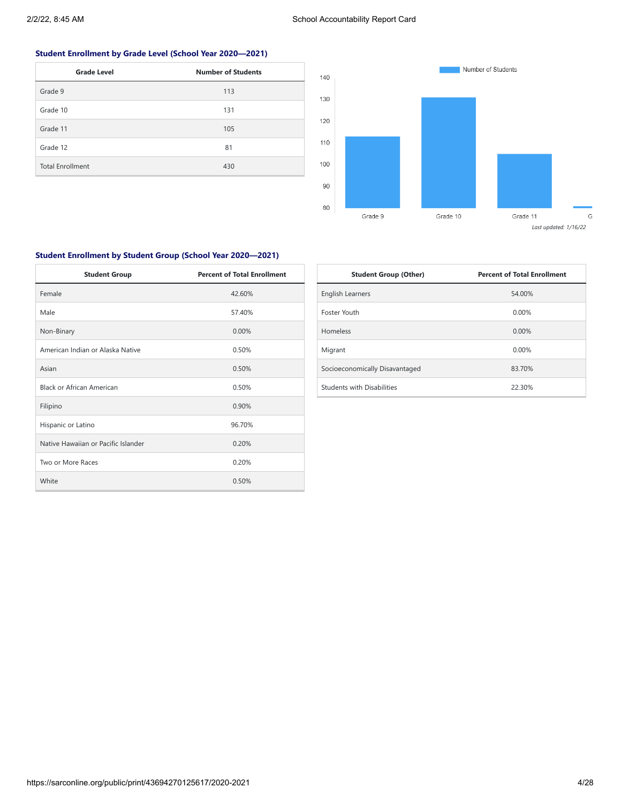## **Student Enrollment by Grade Level (School Year 2020—2021)**

| <b>Grade Level</b>      | <b>Number of Students</b> |
|-------------------------|---------------------------|
| Grade 9                 | 113                       |
| Grade 10                | 131                       |
| Grade 11                | 105                       |
| Grade 12                | 81                        |
| <b>Total Enrollment</b> | 430                       |



# **Student Enrollment by Student Group (School Year 2020—2021)**

| <b>Student Group</b>                | <b>Percent of Total Enrollment</b> |
|-------------------------------------|------------------------------------|
| Female                              | 42.60%                             |
| Male                                | 57.40%                             |
| Non-Binary                          | 0.00%                              |
| American Indian or Alaska Native    | 0.50%                              |
| Asian                               | 0.50%                              |
| Black or African American           | 0.50%                              |
| Filipino                            | 0.90%                              |
| Hispanic or Latino                  | 96.70%                             |
| Native Hawaiian or Pacific Islander | 0.20%                              |
| Two or More Races                   | 0.20%                              |
| White                               | 0.50%                              |

| <b>Student Group (Other)</b>   | <b>Percent of Total Enrollment</b> |
|--------------------------------|------------------------------------|
| <b>English Learners</b>        | 54.00%                             |
| <b>Foster Youth</b>            | 0.00%                              |
| <b>Homeless</b>                | 0.00%                              |
| Migrant                        | 0.00%                              |
| Socioeconomically Disavantaged | 83.70%                             |
| Students with Disabilities     | 22.30%                             |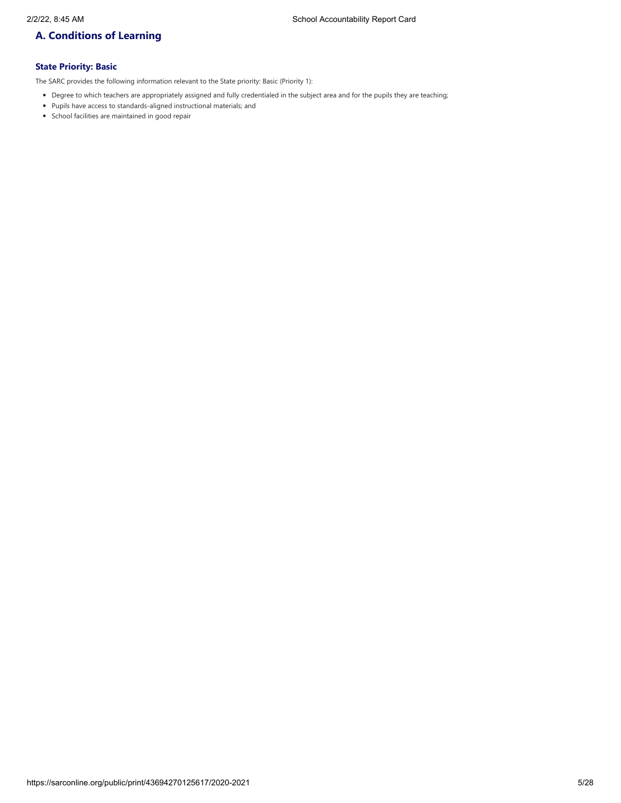# **A. Conditions of Learning**

# **State Priority: Basic**

The SARC provides the following information relevant to the State priority: Basic (Priority 1):

- Degree to which teachers are appropriately assigned and fully credentialed in the subject area and for the pupils they are teaching;
- Pupils have access to standards-aligned instructional materials; and
- School facilities are maintained in good repair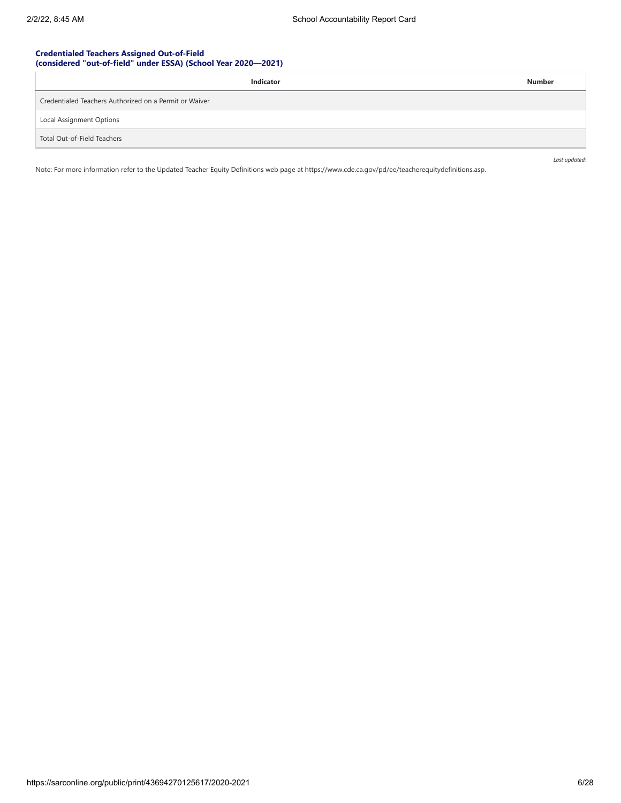## **Credentialed Teachers Assigned Out-of-Field (considered "out-of-field" under ESSA) (School Year 2020—2021)**

| <b>Indicator</b>                                       | <b>Number</b> |
|--------------------------------------------------------|---------------|
| Credentialed Teachers Authorized on a Permit or Waiver |               |
| Local Assignment Options                               |               |
| Total Out-of-Field Teachers                            |               |

Note: For more information refer to the Updated Teacher Equity Definitions web page at https://www.cde.ca.gov/pd/ee/teacherequitydefinitions.asp.

*Last updated:*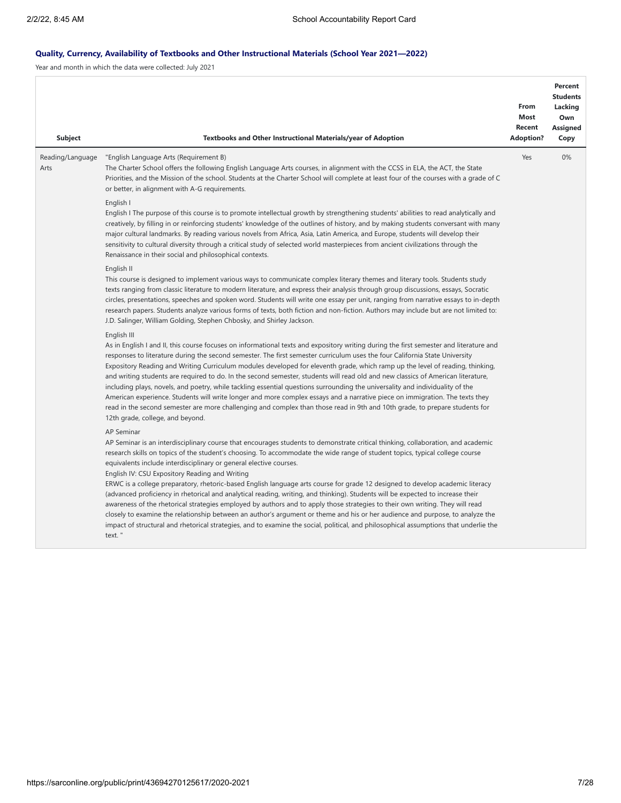# **Quality, Currency, Availability of Textbooks and Other Instructional Materials (School Year 2021—2022)**

Year and month in which the data were collected: July 2021

| Subject                  | Textbooks and Other Instructional Materials/year of Adoption                                                                                                                                                                                                                                                                                                                                                                                                                                                                                                                                                                                                                                                                                                                                                                                                                                                                                                                                                                                                                                           | From<br><b>Most</b><br>Recent<br><b>Adoption?</b> | Percent<br><b>Students</b><br>Lacking<br>Own<br><b>Assigned</b><br>Copy |
|--------------------------|--------------------------------------------------------------------------------------------------------------------------------------------------------------------------------------------------------------------------------------------------------------------------------------------------------------------------------------------------------------------------------------------------------------------------------------------------------------------------------------------------------------------------------------------------------------------------------------------------------------------------------------------------------------------------------------------------------------------------------------------------------------------------------------------------------------------------------------------------------------------------------------------------------------------------------------------------------------------------------------------------------------------------------------------------------------------------------------------------------|---------------------------------------------------|-------------------------------------------------------------------------|
| Reading/Language<br>Arts | "English Language Arts (Requirement B)<br>The Charter School offers the following English Language Arts courses, in alignment with the CCSS in ELA, the ACT, the State<br>Priorities, and the Mission of the school. Students at the Charter School will complete at least four of the courses with a grade of C<br>or better, in alignment with A-G requirements.                                                                                                                                                                                                                                                                                                                                                                                                                                                                                                                                                                                                                                                                                                                                     | Yes                                               | 0%                                                                      |
|                          | English I<br>English I The purpose of this course is to promote intellectual growth by strengthening students' abilities to read analytically and<br>creatively, by filling in or reinforcing students' knowledge of the outlines of history, and by making students conversant with many<br>major cultural landmarks. By reading various novels from Africa, Asia, Latin America, and Europe, students will develop their<br>sensitivity to cultural diversity through a critical study of selected world masterpieces from ancient civilizations through the<br>Renaissance in their social and philosophical contexts.                                                                                                                                                                                                                                                                                                                                                                                                                                                                              |                                                   |                                                                         |
|                          | English II<br>This course is designed to implement various ways to communicate complex literary themes and literary tools. Students study<br>texts ranging from classic literature to modern literature, and express their analysis through group discussions, essays, Socratic<br>circles, presentations, speeches and spoken word. Students will write one essay per unit, ranging from narrative essays to in-depth<br>research papers. Students analyze various forms of texts, both fiction and non-fiction. Authors may include but are not limited to:<br>J.D. Salinger, William Golding, Stephen Chbosky, and Shirley Jackson.                                                                                                                                                                                                                                                                                                                                                                                                                                                                 |                                                   |                                                                         |
|                          | English III<br>As in English I and II, this course focuses on informational texts and expository writing during the first semester and literature and<br>responses to literature during the second semester. The first semester curriculum uses the four California State University<br>Expository Reading and Writing Curriculum modules developed for eleventh grade, which ramp up the level of reading, thinking,<br>and writing students are required to do. In the second semester, students will read old and new classics of American literature,<br>including plays, novels, and poetry, while tackling essential questions surrounding the universality and individuality of the<br>American experience. Students will write longer and more complex essays and a narrative piece on immigration. The texts they<br>read in the second semester are more challenging and complex than those read in 9th and 10th grade, to prepare students for<br>12th grade, college, and beyond.                                                                                                          |                                                   |                                                                         |
|                          | <b>AP Seminar</b><br>AP Seminar is an interdisciplinary course that encourages students to demonstrate critical thinking, collaboration, and academic<br>research skills on topics of the student's choosing. To accommodate the wide range of student topics, typical college course<br>equivalents include interdisciplinary or general elective courses.<br>English IV: CSU Expository Reading and Writing<br>ERWC is a college preparatory, rhetoric-based English language arts course for grade 12 designed to develop academic literacy<br>(advanced proficiency in rhetorical and analytical reading, writing, and thinking). Students will be expected to increase their<br>awareness of the rhetorical strategies employed by authors and to apply those strategies to their own writing. They will read<br>closely to examine the relationship between an author's argument or theme and his or her audience and purpose, to analyze the<br>impact of structural and rhetorical strategies, and to examine the social, political, and philosophical assumptions that underlie the<br>text." |                                                   |                                                                         |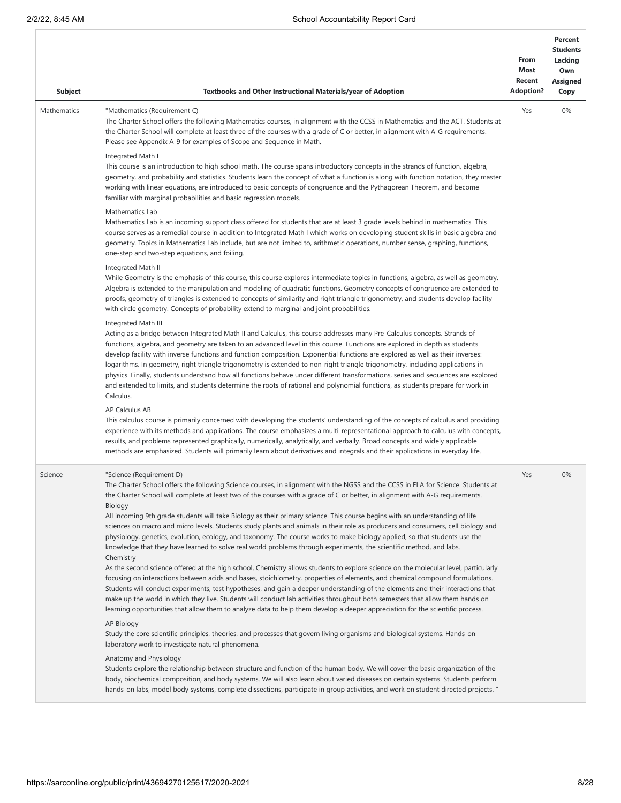| Subject            | Textbooks and Other Instructional Materials/year of Adoption                                                                                                                                                                                                                                                                                                                                                                                                                                                                                                                                                                                                                                                                                                                                                                                                                                                                                                                                                                                                                                                                                                                                                                                                                                                                                                                                                                                                                                                                                                                                                                                                                                                                                                                                                                                                                                                                                                                                                                                                                                                                                                     | From<br>Most<br>Recent<br><b>Adoption?</b> | Percent<br><b>Students</b><br>Lacking<br>Own<br>Assigned<br>Copy |
|--------------------|------------------------------------------------------------------------------------------------------------------------------------------------------------------------------------------------------------------------------------------------------------------------------------------------------------------------------------------------------------------------------------------------------------------------------------------------------------------------------------------------------------------------------------------------------------------------------------------------------------------------------------------------------------------------------------------------------------------------------------------------------------------------------------------------------------------------------------------------------------------------------------------------------------------------------------------------------------------------------------------------------------------------------------------------------------------------------------------------------------------------------------------------------------------------------------------------------------------------------------------------------------------------------------------------------------------------------------------------------------------------------------------------------------------------------------------------------------------------------------------------------------------------------------------------------------------------------------------------------------------------------------------------------------------------------------------------------------------------------------------------------------------------------------------------------------------------------------------------------------------------------------------------------------------------------------------------------------------------------------------------------------------------------------------------------------------------------------------------------------------------------------------------------------------|--------------------------------------------|------------------------------------------------------------------|
| <b>Mathematics</b> | "Mathematics (Requirement C)<br>The Charter School offers the following Mathematics courses, in alignment with the CCSS in Mathematics and the ACT. Students at<br>the Charter School will complete at least three of the courses with a grade of C or better, in alignment with A-G requirements.<br>Please see Appendix A-9 for examples of Scope and Sequence in Math.                                                                                                                                                                                                                                                                                                                                                                                                                                                                                                                                                                                                                                                                                                                                                                                                                                                                                                                                                                                                                                                                                                                                                                                                                                                                                                                                                                                                                                                                                                                                                                                                                                                                                                                                                                                        | Yes                                        | 0%                                                               |
|                    | Integrated Math I<br>This course is an introduction to high school math. The course spans introductory concepts in the strands of function, algebra,<br>geometry, and probability and statistics. Students learn the concept of what a function is along with function notation, they master<br>working with linear equations, are introduced to basic concepts of congruence and the Pythagorean Theorem, and become<br>familiar with marginal probabilities and basic regression models.                                                                                                                                                                                                                                                                                                                                                                                                                                                                                                                                                                                                                                                                                                                                                                                                                                                                                                                                                                                                                                                                                                                                                                                                                                                                                                                                                                                                                                                                                                                                                                                                                                                                       |                                            |                                                                  |
|                    | Mathematics Lab<br>Mathematics Lab is an incoming support class offered for students that are at least 3 grade levels behind in mathematics. This<br>course serves as a remedial course in addition to Integrated Math I which works on developing student skills in basic algebra and<br>geometry. Topics in Mathematics Lab include, but are not limited to, arithmetic operations, number sense, graphing, functions,<br>one-step and two-step equations, and foiling.                                                                                                                                                                                                                                                                                                                                                                                                                                                                                                                                                                                                                                                                                                                                                                                                                                                                                                                                                                                                                                                                                                                                                                                                                                                                                                                                                                                                                                                                                                                                                                                                                                                                                        |                                            |                                                                  |
|                    | Integrated Math II<br>While Geometry is the emphasis of this course, this course explores intermediate topics in functions, algebra, as well as geometry.<br>Algebra is extended to the manipulation and modeling of quadratic functions. Geometry concepts of congruence are extended to<br>proofs, geometry of triangles is extended to concepts of similarity and right triangle trigonometry, and students develop facility<br>with circle geometry. Concepts of probability extend to marginal and joint probabilities.                                                                                                                                                                                                                                                                                                                                                                                                                                                                                                                                                                                                                                                                                                                                                                                                                                                                                                                                                                                                                                                                                                                                                                                                                                                                                                                                                                                                                                                                                                                                                                                                                                     |                                            |                                                                  |
|                    | Integrated Math III<br>Acting as a bridge between Integrated Math II and Calculus, this course addresses many Pre-Calculus concepts. Strands of<br>functions, algebra, and geometry are taken to an advanced level in this course. Functions are explored in depth as students<br>develop facility with inverse functions and function composition. Exponential functions are explored as well as their inverses:<br>logarithms. In geometry, right triangle trigonometry is extended to non-right triangle trigonometry, including applications in<br>physics. Finally, students understand how all functions behave under different transformations, series and sequences are explored<br>and extended to limits, and students determine the roots of rational and polynomial functions, as students prepare for work in<br>Calculus.                                                                                                                                                                                                                                                                                                                                                                                                                                                                                                                                                                                                                                                                                                                                                                                                                                                                                                                                                                                                                                                                                                                                                                                                                                                                                                                          |                                            |                                                                  |
|                    | AP Calculus AB<br>This calculus course is primarily concerned with developing the students' understanding of the concepts of calculus and providing<br>experience with its methods and applications. The course emphasizes a multi-representational approach to calculus with concepts,<br>results, and problems represented graphically, numerically, analytically, and verbally. Broad concepts and widely applicable<br>methods are emphasized. Students will primarily learn about derivatives and integrals and their applications in everyday life.                                                                                                                                                                                                                                                                                                                                                                                                                                                                                                                                                                                                                                                                                                                                                                                                                                                                                                                                                                                                                                                                                                                                                                                                                                                                                                                                                                                                                                                                                                                                                                                                        |                                            |                                                                  |
| Science            | "Science (Requirement D)<br>The Charter School offers the following Science courses, in alignment with the NGSS and the CCSS in ELA for Science. Students at<br>the Charter School will complete at least two of the courses with a grade of C or better, in alignment with A-G requirements.<br>Biology<br>All incoming 9th grade students will take Biology as their primary science. This course begins with an understanding of life<br>sciences on macro and micro levels. Students study plants and animals in their role as producers and consumers, cell biology and<br>physiology, genetics, evolution, ecology, and taxonomy. The course works to make biology applied, so that students use the<br>knowledge that they have learned to solve real world problems through experiments, the scientific method, and labs.<br>Chemistry<br>As the second science offered at the high school, Chemistry allows students to explore science on the molecular level, particularly<br>focusing on interactions between acids and bases, stoichiometry, properties of elements, and chemical compound formulations.<br>Students will conduct experiments, test hypotheses, and gain a deeper understanding of the elements and their interactions that<br>make up the world in which they live. Students will conduct lab activities throughout both semesters that allow them hands on<br>learning opportunities that allow them to analyze data to help them develop a deeper appreciation for the scientific process.<br>AP Biology<br>Study the core scientific principles, theories, and processes that govern living organisms and biological systems. Hands-on<br>laboratory work to investigate natural phenomena.<br>Anatomy and Physiology<br>Students explore the relationship between structure and function of the human body. We will cover the basic organization of the<br>body, biochemical composition, and body systems. We will also learn about varied diseases on certain systems. Students perform<br>hands-on labs, model body systems, complete dissections, participate in group activities, and work on student directed projects." | Yes                                        | 0%                                                               |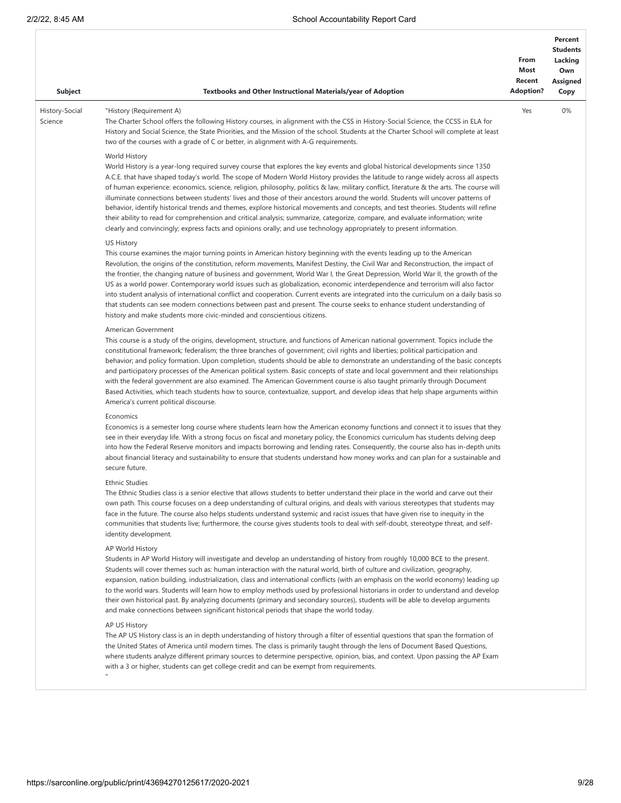| Subject                   | Textbooks and Other Instructional Materials/year of Adoption                                                                                                                                                                                                                                                                                                                                                                                                                                                                                                                                                                                                                                                                                                                                                                                                                                                                                                          | From<br>Most<br>Recent<br><b>Adoption?</b> | Percent<br><b>Students</b><br>Lacking<br>Own<br>Assigned<br>Copy |
|---------------------------|-----------------------------------------------------------------------------------------------------------------------------------------------------------------------------------------------------------------------------------------------------------------------------------------------------------------------------------------------------------------------------------------------------------------------------------------------------------------------------------------------------------------------------------------------------------------------------------------------------------------------------------------------------------------------------------------------------------------------------------------------------------------------------------------------------------------------------------------------------------------------------------------------------------------------------------------------------------------------|--------------------------------------------|------------------------------------------------------------------|
| History-Social<br>Science | "History (Requirement A)<br>The Charter School offers the following History courses, in alignment with the CSS in History-Social Science, the CCSS in ELA for<br>History and Social Science, the State Priorities, and the Mission of the school. Students at the Charter School will complete at least<br>two of the courses with a grade of C or better, in alignment with A-G requirements.                                                                                                                                                                                                                                                                                                                                                                                                                                                                                                                                                                        | Yes                                        | $0\%$                                                            |
|                           | World History<br>World History is a year-long required survey course that explores the key events and global historical developments since 1350<br>A.C.E. that have shaped today's world. The scope of Modern World History provides the latitude to range widely across all aspects<br>of human experience: economics, science, religion, philosophy, politics & law, military conflict, literature & the arts. The course will<br>illuminate connections between students' lives and those of their ancestors around the world. Students will uncover patterns of<br>behavior, identify historical trends and themes, explore historical movements and concepts, and test theories. Students will refine<br>their ability to read for comprehension and critical analysis; summarize, categorize, compare, and evaluate information; write<br>clearly and convincingly; express facts and opinions orally; and use technology appropriately to present information. |                                            |                                                                  |
|                           | <b>US History</b><br>This course examines the major turning points in American history beginning with the events leading up to the American<br>Revolution, the origins of the constitution, reform movements, Manifest Destiny, the Civil War and Reconstruction, the impact of<br>the frontier, the changing nature of business and government, World War I, the Great Depression, World War II, the growth of the<br>US as a world power. Contemporary world issues such as globalization, economic interdependence and terrorism will also factor<br>into student analysis of international conflict and cooperation. Current events are integrated into the curriculum on a daily basis so<br>that students can see modern connections between past and present. The course seeks to enhance student understanding of<br>history and make students more civic-minded and conscientious citizens.                                                                  |                                            |                                                                  |
|                           | American Government<br>This course is a study of the origins, development, structure, and functions of American national government. Topics include the<br>constitutional framework; federalism; the three branches of government; civil rights and liberties; political participation and<br>behavior; and policy formation. Upon completion, students should be able to demonstrate an understanding of the basic concepts<br>and participatory processes of the American political system. Basic concepts of state and local government and their relationships<br>with the federal government are also examined. The American Government course is also taught primarily through Document<br>Based Activities, which teach students how to source, contextualize, support, and develop ideas that help shape arguments within<br>America's current political discourse.                                                                                           |                                            |                                                                  |
|                           | Economics<br>Economics is a semester long course where students learn how the American economy functions and connect it to issues that they<br>see in their everyday life. With a strong focus on fiscal and monetary policy, the Economics curriculum has students delving deep<br>into how the Federal Reserve monitors and impacts borrowing and lending rates. Consequently, the course also has in-depth units<br>about financial literacy and sustainability to ensure that students understand how money works and can plan for a sustainable and<br>secure future.                                                                                                                                                                                                                                                                                                                                                                                            |                                            |                                                                  |
|                           | <b>Ethnic Studies</b><br>The Ethnic Studies class is a senior elective that allows students to better understand their place in the world and carve out their<br>own path. This course focuses on a deep understanding of cultural origins, and deals with various stereotypes that students may<br>face in the future. The course also helps students understand systemic and racist issues that have given rise to inequity in the<br>communities that students live; furthermore, the course gives students tools to deal with self-doubt, stereotype threat, and self-<br>identity development.                                                                                                                                                                                                                                                                                                                                                                   |                                            |                                                                  |
|                           | AP World History<br>Students in AP World History will investigate and develop an understanding of history from roughly 10,000 BCE to the present.<br>Students will cover themes such as: human interaction with the natural world, birth of culture and civilization, geography,<br>expansion, nation building, industrialization, class and international conflicts (with an emphasis on the world economy) leading up<br>to the world wars. Students will learn how to employ methods used by professional historians in order to understand and develop<br>their own historical past. By analyzing documents (primary and secondary sources), students will be able to develop arguments<br>and make connections between significant historical periods that shape the world today.                                                                                                                                                                                |                                            |                                                                  |
|                           | AP US History<br>The AP US History class is an in depth understanding of history through a filter of essential questions that span the formation of<br>the United States of America until modern times. The class is primarily taught through the lens of Document Based Questions,<br>where students analyze different primary sources to determine perspective, opinion, bias, and context. Upon passing the AP Exam<br>with a 3 or higher, students can get college credit and can be exempt from requirements.                                                                                                                                                                                                                                                                                                                                                                                                                                                    |                                            |                                                                  |
|                           |                                                                                                                                                                                                                                                                                                                                                                                                                                                                                                                                                                                                                                                                                                                                                                                                                                                                                                                                                                       |                                            |                                                                  |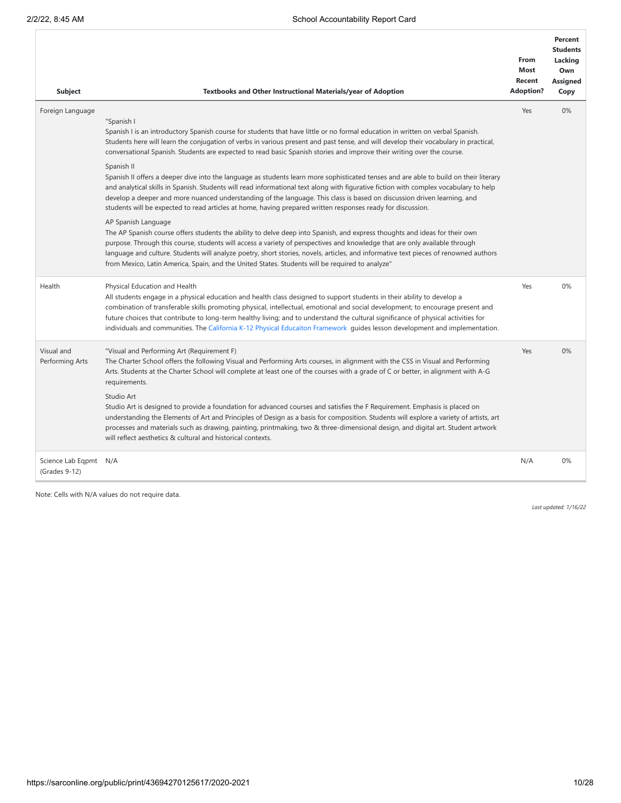| <b>Subject</b>                         | Textbooks and Other Instructional Materials/year of Adoption                                                                                                                                                                                                                                                                                                                                                                                                                                                                                                                                                                                                                                                                                                                                                                                                                                                                                                                                                                                                                                                                                                                                                                                                                                                                                                                        | From<br>Most<br>Recent<br><b>Adoption?</b> | <b>Percent</b><br><b>Students</b><br>Lacking<br>Own<br><b>Assigned</b><br>Copy |
|----------------------------------------|-------------------------------------------------------------------------------------------------------------------------------------------------------------------------------------------------------------------------------------------------------------------------------------------------------------------------------------------------------------------------------------------------------------------------------------------------------------------------------------------------------------------------------------------------------------------------------------------------------------------------------------------------------------------------------------------------------------------------------------------------------------------------------------------------------------------------------------------------------------------------------------------------------------------------------------------------------------------------------------------------------------------------------------------------------------------------------------------------------------------------------------------------------------------------------------------------------------------------------------------------------------------------------------------------------------------------------------------------------------------------------------|--------------------------------------------|--------------------------------------------------------------------------------|
| Foreign Language                       | "Spanish I<br>Spanish I is an introductory Spanish course for students that have little or no formal education in written on verbal Spanish.<br>Students here will learn the conjugation of verbs in various present and past tense, and will develop their vocabulary in practical,<br>conversational Spanish. Students are expected to read basic Spanish stories and improve their writing over the course.<br>Spanish II<br>Spanish II offers a deeper dive into the language as students learn more sophisticated tenses and are able to build on their literary<br>and analytical skills in Spanish. Students will read informational text along with figurative fiction with complex vocabulary to help<br>develop a deeper and more nuanced understanding of the language. This class is based on discussion driven learning, and<br>students will be expected to read articles at home, having prepared written responses ready for discussion.<br>AP Spanish Language<br>The AP Spanish course offers students the ability to delve deep into Spanish, and express thoughts and ideas for their own<br>purpose. Through this course, students will access a variety of perspectives and knowledge that are only available through<br>language and culture. Students will analyze poetry, short stories, novels, articles, and informative text pieces of renowned authors | Yes                                        | 0%                                                                             |
| Health                                 | from Mexico, Latin America, Spain, and the United States. Students will be required to analyze"<br>Physical Education and Health<br>All students engage in a physical education and health class designed to support students in their ability to develop a<br>combination of transferable skills promoting physical, intellectual, emotional and social development; to encourage present and<br>future choices that contribute to long-term healthy living; and to understand the cultural significance of physical activities for                                                                                                                                                                                                                                                                                                                                                                                                                                                                                                                                                                                                                                                                                                                                                                                                                                                | Yes                                        | 0%                                                                             |
| Visual and<br>Performing Arts          | individuals and communities. The California K-12 Physical Educaiton Framework guides lesson development and implementation.<br>"Visual and Performing Art (Requirement F)<br>The Charter School offers the following Visual and Performing Arts courses, in alignment with the CSS in Visual and Performing<br>Arts. Students at the Charter School will complete at least one of the courses with a grade of C or better, in alignment with A-G<br>requirements.                                                                                                                                                                                                                                                                                                                                                                                                                                                                                                                                                                                                                                                                                                                                                                                                                                                                                                                   | Yes                                        | 0%                                                                             |
|                                        | Studio Art<br>Studio Art is designed to provide a foundation for advanced courses and satisfies the F Requirement. Emphasis is placed on<br>understanding the Elements of Art and Principles of Design as a basis for composition. Students will explore a variety of artists, art<br>processes and materials such as drawing, painting, printmaking, two & three-dimensional design, and digital art. Student artwork<br>will reflect aesthetics & cultural and historical contexts.                                                                                                                                                                                                                                                                                                                                                                                                                                                                                                                                                                                                                                                                                                                                                                                                                                                                                               |                                            |                                                                                |
| Science Lab Eqpmt N/A<br>(Grades 9-12) |                                                                                                                                                                                                                                                                                                                                                                                                                                                                                                                                                                                                                                                                                                                                                                                                                                                                                                                                                                                                                                                                                                                                                                                                                                                                                                                                                                                     | N/A                                        | 0%                                                                             |

Note: Cells with N/A values do not require data.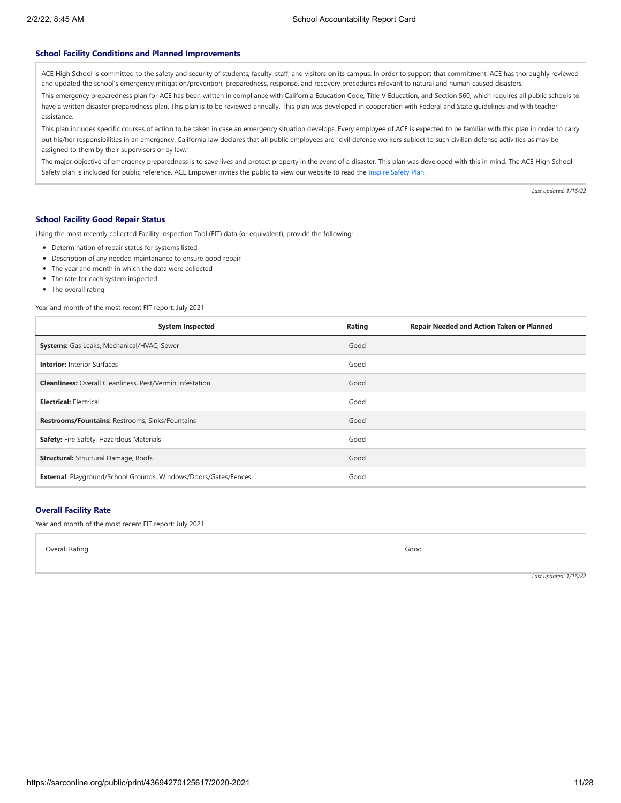## **School Facility Conditions and Planned Improvements**

ACE High School is committed to the safety and security of students, faculty, staff, and visitors on its campus. In order to support that commitment, ACE has thoroughly reviewed and updated the school's emergency mitigation/prevention, preparedness, response, and recovery procedures relevant to natural and human caused disasters.

This emergency preparedness plan for ACE has been written in compliance with California Education Code, Title V Education, and Section 560, which requires all public schools to have a written disaster preparedness plan. This plan is to be reviewed annually. This plan was developed in cooperation with Federal and State guidelines and with teacher assistance.

This plan includes specific courses of action to be taken in case an emergency situation develops. Every employee of ACE is expected to be familiar with this plan in order to carry out his/her responsibilities in an emergency. California law declares that all public employees are "civil defense workers subject to such civilian defense activities as may be assigned to them by their supervisors or by law."

The major objective of emergency preparedness is to save lives and protect property in the event of a disaster. This plan was developed with this in mind. The ACE High School Safety plan is included for public reference. ACE Empower invites the public to view our website to read the [Inspire](https://docs.google.com/document/d/1JmNgod-j4fyiSRg9SWmKvpmw3R1HXJ0D/edit?usp=sharing&ouid=109644233424772644339&rtpof=true&sd=true) Safety Plan.

*Last updated: 1/16/22*

## **School Facility Good Repair Status**

Using the most recently collected Facility Inspection Tool (FIT) data (or equivalent), provide the following:

- Determination of repair status for systems listed
- Description of any needed maintenance to ensure good repair
- The year and month in which the data were collected
- The rate for each system inspected
- The overall rating

Year and month of the most recent FIT report: July 2021

| <b>System Inspected</b>                                          | <b>Repair Needed and Action Taken or Planned</b><br>Rating |
|------------------------------------------------------------------|------------------------------------------------------------|
| Systems: Gas Leaks, Mechanical/HVAC, Sewer                       | Good                                                       |
| <b>Interior: Interior Surfaces</b>                               | Good                                                       |
| <b>Cleanliness:</b> Overall Cleanliness, Pest/Vermin Infestation | Good                                                       |
| <b>Electrical: Electrical</b>                                    | Good                                                       |
| Restrooms/Fountains: Restrooms, Sinks/Fountains                  | Good                                                       |
| <b>Safety:</b> Fire Safety, Hazardous Materials                  | Good                                                       |
| <b>Structural:</b> Structural Damage, Roofs                      | Good                                                       |
| External: Playground/School Grounds, Windows/Doors/Gates/Fences  | Good                                                       |

### **Overall Facility Rate**

Year and month of the most recent FIT report: July 2021

Overall Rating Good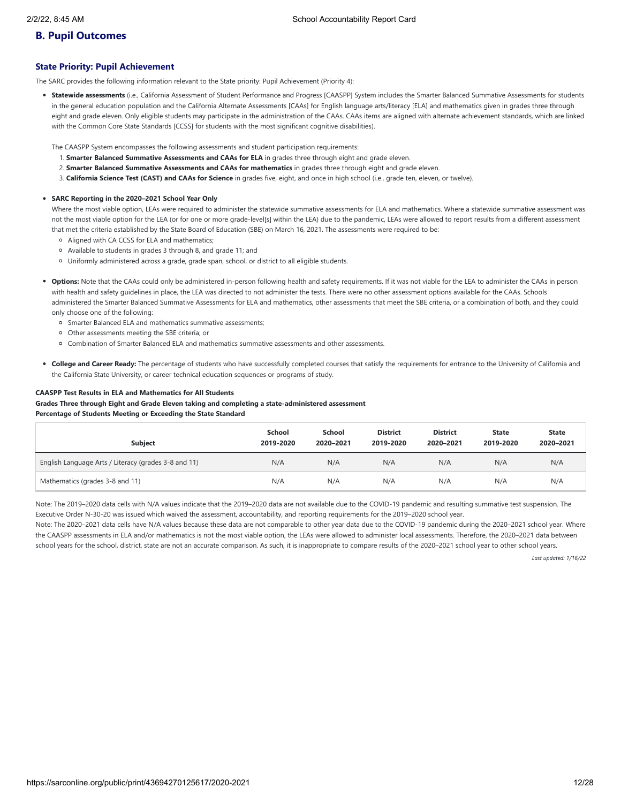# **B. Pupil Outcomes**

## **State Priority: Pupil Achievement**

The SARC provides the following information relevant to the State priority: Pupil Achievement (Priority 4):

**Statewide assessments** (i.e., California Assessment of Student Performance and Progress [CAASPP] System includes the Smarter Balanced Summative Assessments for students in the general education population and the California Alternate Assessments [CAAs] for English language arts/literacy [ELA] and mathematics given in grades three through eight and grade eleven. Only eligible students may participate in the administration of the CAAs. CAAs items are aligned with alternate achievement standards, which are linked with the Common Core State Standards [CCSS] for students with the most significant cognitive disabilities).

The CAASPP System encompasses the following assessments and student participation requirements:

- 1. **Smarter Balanced Summative Assessments and CAAs for ELA** in grades three through eight and grade eleven.
- 2. **Smarter Balanced Summative Assessments and CAAs for mathematics** in grades three through eight and grade eleven.
- 3. **California Science Test (CAST) and CAAs for Science** in grades five, eight, and once in high school (i.e., grade ten, eleven, or twelve).

#### **SARC Reporting in the 2020–2021 School Year Only**

Where the most viable option, LEAs were required to administer the statewide summative assessments for ELA and mathematics. Where a statewide summative assessment was not the most viable option for the LEA (or for one or more grade-level[s] within the LEA) due to the pandemic, LEAs were allowed to report results from a different assessment that met the criteria established by the State Board of Education (SBE) on March 16, 2021. The assessments were required to be:

- Aligned with CA CCSS for ELA and mathematics;
- Available to students in grades 3 through 8, and grade 11; and
- Uniformly administered across a grade, grade span, school, or district to all eligible students.
- **Options:** Note that the CAAs could only be administered in-person following health and safety requirements. If it was not viable for the LEA to administer the CAAs in person with health and safety guidelines in place, the LEA was directed to not administer the tests. There were no other assessment options available for the CAAs. Schools administered the Smarter Balanced Summative Assessments for ELA and mathematics, other assessments that meet the SBE criteria, or a combination of both, and they could only choose one of the following:
	- o Smarter Balanced ELA and mathematics summative assessments;
	- Other assessments meeting the SBE criteria; or
	- Combination of Smarter Balanced ELA and mathematics summative assessments and other assessments.
- **College and Career Ready:** The percentage of students who have successfully completed courses that satisfy the requirements for entrance to the University of California and the California State University, or career technical education sequences or programs of study.

## **CAASPP Test Results in ELA and Mathematics for All Students**

#### **Grades Three through Eight and Grade Eleven taking and completing a state-administered assessment Percentage of Students Meeting or Exceeding the State Standard**

| Subject                                              | School<br>2019-2020 | School<br>2020-2021 | <b>District</b><br>2019-2020 | <b>District</b><br>2020-2021 | <b>State</b><br>2019-2020 | <b>State</b><br>2020-2021 |
|------------------------------------------------------|---------------------|---------------------|------------------------------|------------------------------|---------------------------|---------------------------|
| English Language Arts / Literacy (grades 3-8 and 11) | N/A                 | N/A                 | N/A                          | N/A                          | N/A                       | N/A                       |
| Mathematics (grades 3-8 and 11)                      | N/A                 | N/A                 | N/A                          | N/A                          | N/A                       | N/A                       |

Note: The 2019–2020 data cells with N/A values indicate that the 2019–2020 data are not available due to the COVID-19 pandemic and resulting summative test suspension. The Executive Order N-30-20 was issued which waived the assessment, accountability, and reporting requirements for the 2019–2020 school year.

Note: The 2020–2021 data cells have N/A values because these data are not comparable to other year data due to the COVID-19 pandemic during the 2020–2021 school year. Where the CAASPP assessments in ELA and/or mathematics is not the most viable option, the LEAs were allowed to administer local assessments. Therefore, the 2020–2021 data between school years for the school, district, state are not an accurate comparison. As such, it is inappropriate to compare results of the 2020–2021 school year to other school years.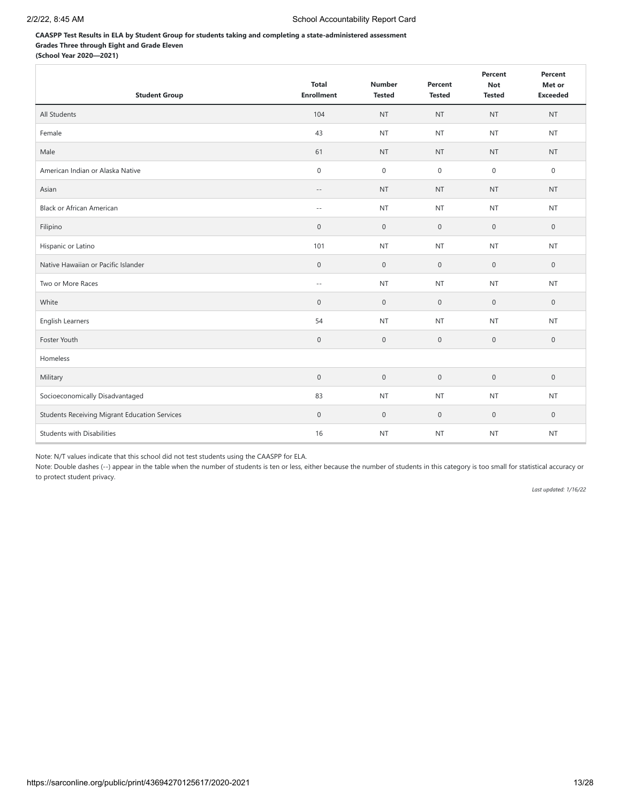**CAASPP Test Results in ELA by Student Group for students taking and completing a state-administered assessment Grades Three through Eight and Grade Eleven**

**(School Year 2020—2021)**

| <b>Student Group</b>                                 | <b>Total</b><br><b>Enrollment</b> | <b>Number</b><br><b>Tested</b> | Percent<br><b>Tested</b> | Percent<br><b>Not</b><br><b>Tested</b> | Percent<br>Met or<br><b>Exceeded</b> |
|------------------------------------------------------|-----------------------------------|--------------------------------|--------------------------|----------------------------------------|--------------------------------------|
| All Students                                         | 104                               | <b>NT</b>                      | <b>NT</b>                | <b>NT</b>                              | <b>NT</b>                            |
| Female                                               | 43                                | <b>NT</b>                      | <b>NT</b>                | <b>NT</b>                              | <b>NT</b>                            |
| Male                                                 | 61                                | <b>NT</b>                      | <b>NT</b>                | <b>NT</b>                              | <b>NT</b>                            |
| American Indian or Alaska Native                     | $\mathbf 0$                       | $\mathbf{0}$                   | $\mathbf 0$              | $\mathbf 0$                            | $\mathbf 0$                          |
| Asian                                                | $-\,-$                            | <b>NT</b>                      | <b>NT</b>                | <b>NT</b>                              | <b>NT</b>                            |
| <b>Black or African American</b>                     | $\sim$ $\sim$                     | <b>NT</b>                      | <b>NT</b>                | <b>NT</b>                              | <b>NT</b>                            |
| Filipino                                             | $\bf 0$                           | $\mathbf 0$                    | $\mathbf 0$              | $\mathbf 0$                            | $\mathbf 0$                          |
| Hispanic or Latino                                   | 101                               | <b>NT</b>                      | <b>NT</b>                | <b>NT</b>                              | <b>NT</b>                            |
| Native Hawaiian or Pacific Islander                  | $\mathbf 0$                       | $\mathbf 0$                    | $\mathbf 0$              | $\boldsymbol{0}$                       | $\mathbf 0$                          |
| Two or More Races                                    | $\sim$ $-$                        | <b>NT</b>                      | <b>NT</b>                | <b>NT</b>                              | <b>NT</b>                            |
| White                                                | $\mathbf 0$                       | $\mathbf 0$                    | $\mathsf 0$              | $\mathbb O$                            | $\mathbb O$                          |
| English Learners                                     | 54                                | <b>NT</b>                      | <b>NT</b>                | <b>NT</b>                              | <b>NT</b>                            |
| Foster Youth                                         | $\mathbf 0$                       | $\mathbf 0$                    | $\mathsf{O}\xspace$      | $\boldsymbol{0}$                       | $\boldsymbol{0}$                     |
| Homeless                                             |                                   |                                |                          |                                        |                                      |
| Military                                             | $\mathbf 0$                       | $\boldsymbol{0}$               | $\mathsf{O}\xspace$      | $\boldsymbol{0}$                       | $\boldsymbol{0}$                     |
| Socioeconomically Disadvantaged                      | 83                                | <b>NT</b>                      | <b>NT</b>                | NT                                     | NT                                   |
| <b>Students Receiving Migrant Education Services</b> | $\mathbf 0$                       | $\mathbb O$                    | $\mathsf{O}\xspace$      | $\mathbb O$                            | $\mathbb O$                          |
| <b>Students with Disabilities</b>                    | 16                                | <b>NT</b>                      | <b>NT</b>                | NT                                     | NT                                   |

Note: N/T values indicate that this school did not test students using the CAASPP for ELA.

Note: Double dashes (--) appear in the table when the number of students is ten or less, either because the number of students in this category is too small for statistical accuracy or to protect student privacy.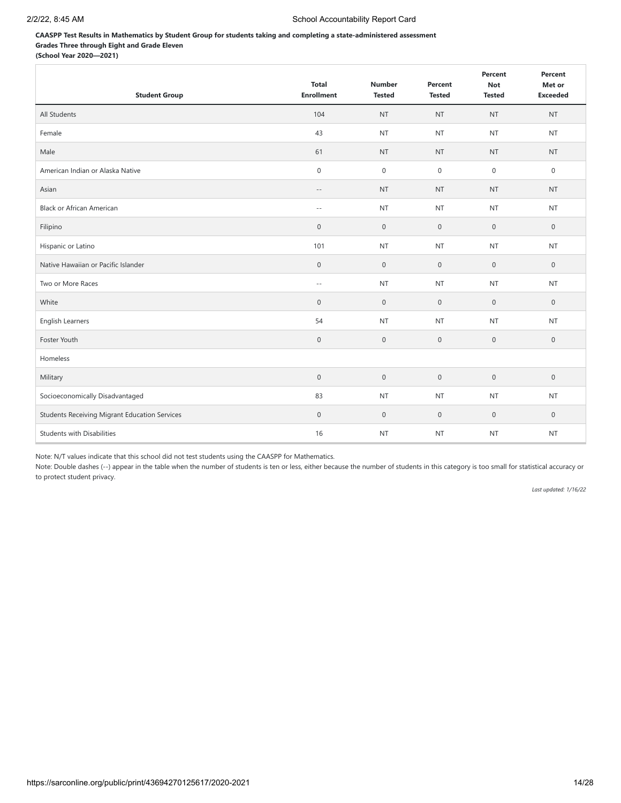**CAASPP Test Results in Mathematics by Student Group for students taking and completing a state-administered assessment Grades Three through Eight and Grade Eleven**

**(School Year 2020—2021)**

| <b>Student Group</b>                          | <b>Total</b><br><b>Enrollment</b> | <b>Number</b><br><b>Tested</b> | Percent<br><b>Tested</b> | Percent<br><b>Not</b><br><b>Tested</b> | Percent<br>Met or<br><b>Exceeded</b> |
|-----------------------------------------------|-----------------------------------|--------------------------------|--------------------------|----------------------------------------|--------------------------------------|
| All Students                                  | 104                               | <b>NT</b>                      | <b>NT</b>                | $\sf{NT}$                              | <b>NT</b>                            |
| Female                                        | 43                                | <b>NT</b>                      | <b>NT</b>                | NT                                     | NT                                   |
| Male                                          | 61                                | <b>NT</b>                      | <b>NT</b>                | <b>NT</b>                              | <b>NT</b>                            |
| American Indian or Alaska Native              | $\mathbf 0$                       | $\mathbf 0$                    | $\mathbf 0$              | $\mathbf 0$                            | $\mathbf 0$                          |
| Asian                                         | $-\,-$                            | <b>NT</b>                      | <b>NT</b>                | <b>NT</b>                              | <b>NT</b>                            |
| <b>Black or African American</b>              | $\sim$ $\sim$                     | <b>NT</b>                      | <b>NT</b>                | <b>NT</b>                              | <b>NT</b>                            |
| Filipino                                      | $\boldsymbol{0}$                  | $\mathbf 0$                    | $\mathbf 0$              | $\mathbf 0$                            | $\boldsymbol{0}$                     |
| Hispanic or Latino                            | 101                               | <b>NT</b>                      | <b>NT</b>                | <b>NT</b>                              | <b>NT</b>                            |
| Native Hawaiian or Pacific Islander           | $\bf 0$                           | $\mathbf 0$                    | $\mathbf 0$              | $\boldsymbol{0}$                       | $\mathbf 0$                          |
| Two or More Races                             | $\sim$ $\sim$                     | <b>NT</b>                      | <b>NT</b>                | <b>NT</b>                              | <b>NT</b>                            |
| White                                         | $\mathbf 0$                       | $\mathbf 0$                    | $\mathbf{0}$             | $\mathbf 0$                            | $\boldsymbol{0}$                     |
| English Learners                              | 54                                | <b>NT</b>                      | <b>NT</b>                | <b>NT</b>                              | <b>NT</b>                            |
| Foster Youth                                  | $\mathbf 0$                       | $\mathbf 0$                    | $\mathbf 0$              | $\boldsymbol{0}$                       | $\boldsymbol{0}$                     |
| Homeless                                      |                                   |                                |                          |                                        |                                      |
| Military                                      | $\mathbf 0$                       | $\mathbf 0$                    | $\mathsf{O}\xspace$      | $\mathbf 0$                            | $\mathbb O$                          |
| Socioeconomically Disadvantaged               | 83                                | <b>NT</b>                      | <b>NT</b>                | <b>NT</b>                              | <b>NT</b>                            |
| Students Receiving Migrant Education Services | $\mathbf 0$                       | $\mathbb O$                    | $\mathsf{O}\xspace$      | $\mathbf 0$                            | $\mathbb O$                          |
| <b>Students with Disabilities</b>             | 16                                | <b>NT</b>                      | <b>NT</b>                | NT                                     | NT                                   |

Note: N/T values indicate that this school did not test students using the CAASPP for Mathematics.

Note: Double dashes (--) appear in the table when the number of students is ten or less, either because the number of students in this category is too small for statistical accuracy or to protect student privacy.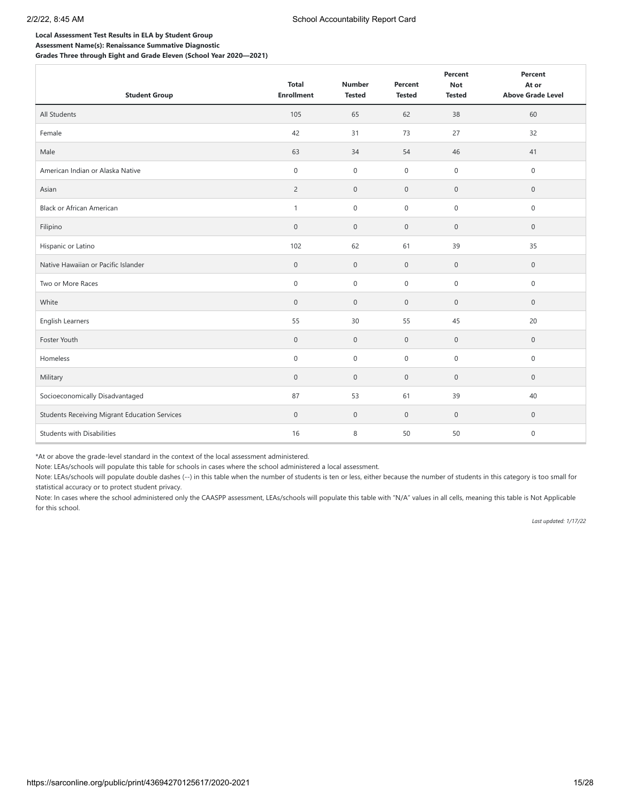## **Local Assessment Test Results in ELA by Student Group Assessment Name(s): Renaissance Summative Diagnostic Grades Three through Eight and Grade Eleven (School Year 2020—2021)**

| <b>Student Group</b>                          | <b>Total</b><br><b>Enrollment</b> | <b>Number</b><br><b>Tested</b> | Percent<br><b>Tested</b> | Percent<br><b>Not</b><br><b>Tested</b> | Percent<br>At or<br><b>Above Grade Level</b> |
|-----------------------------------------------|-----------------------------------|--------------------------------|--------------------------|----------------------------------------|----------------------------------------------|
| All Students                                  | 105                               | 65                             | 62                       | 38                                     | 60                                           |
| Female                                        | 42                                | 31                             | 73                       | 27                                     | 32                                           |
| Male                                          | 63                                | 34                             | 54                       | 46                                     | 41                                           |
| American Indian or Alaska Native              | $\mathbf 0$                       | $\mathsf{O}\xspace$            | $\mathbf 0$              | 0                                      | $\mathbf 0$                                  |
| Asian                                         | $\overline{2}$                    | $\mathbf 0$                    | $\mathbf 0$              | $\mathbf 0$                            | $\mathbf 0$                                  |
| <b>Black or African American</b>              | $\mathbf{1}$                      | $\mathsf{O}\xspace$            | $\mathsf{O}\xspace$      | 0                                      | $\mathbf 0$                                  |
| Filipino                                      | $\mathbf{0}$                      | $\mathbf{0}$                   | $\mathbf 0$              | $\mathbf 0$                            | $\mathbf{0}$                                 |
| Hispanic or Latino                            | 102                               | 62                             | 61                       | 39                                     | 35                                           |
| Native Hawaiian or Pacific Islander           | $\mathbf 0$                       | $\mathsf{O}\xspace$            | $\mathbf 0$              | $\mathbf 0$                            | $\mathbf 0$                                  |
| Two or More Races                             | $\mathbf 0$                       | $\mathsf{O}\xspace$            | $\mathbf 0$              | $\mathbf 0$                            | $\mathbf 0$                                  |
| White                                         | $\mathbf 0$                       | $\mathbf{0}$                   | $\mathbf 0$              | $\mathbf 0$                            | $\mathbf{0}$                                 |
| English Learners                              | 55                                | 30                             | 55                       | 45                                     | 20                                           |
| Foster Youth                                  | $\mathbf 0$                       | $\mathbf 0$                    | $\mathbf 0$              | $\mathbf 0$                            | $\mathbf 0$                                  |
| Homeless                                      | $\mathbf 0$                       | $\mathbf 0$                    | $\mathbf 0$              | $\mathbf 0$                            | $\mathbf 0$                                  |
| Military                                      | $\mathbf{0}$                      | $\mathbf 0$                    | $\mathbf 0$              | $\mathbf 0$                            | $\mathbf{0}$                                 |
| Socioeconomically Disadvantaged               | 87                                | 53                             | 61                       | 39                                     | 40                                           |
| Students Receiving Migrant Education Services | $\mathbf{0}$                      | $\mathsf{O}\xspace$            | $\mathbf 0$              | $\mathbf 0$                            | $\mathbf{0}$                                 |
| <b>Students with Disabilities</b>             | 16                                | 8                              | 50                       | 50                                     | $\mathbf 0$                                  |

\*At or above the grade-level standard in the context of the local assessment administered.

Note: LEAs/schools will populate this table for schools in cases where the school administered a local assessment.

Note: LEAs/schools will populate double dashes (--) in this table when the number of students is ten or less, either because the number of students in this category is too small for statistical accuracy or to protect student privacy.

Note: In cases where the school administered only the CAASPP assessment, LEAs/schools will populate this table with "N/A" values in all cells, meaning this table is Not Applicable for this school.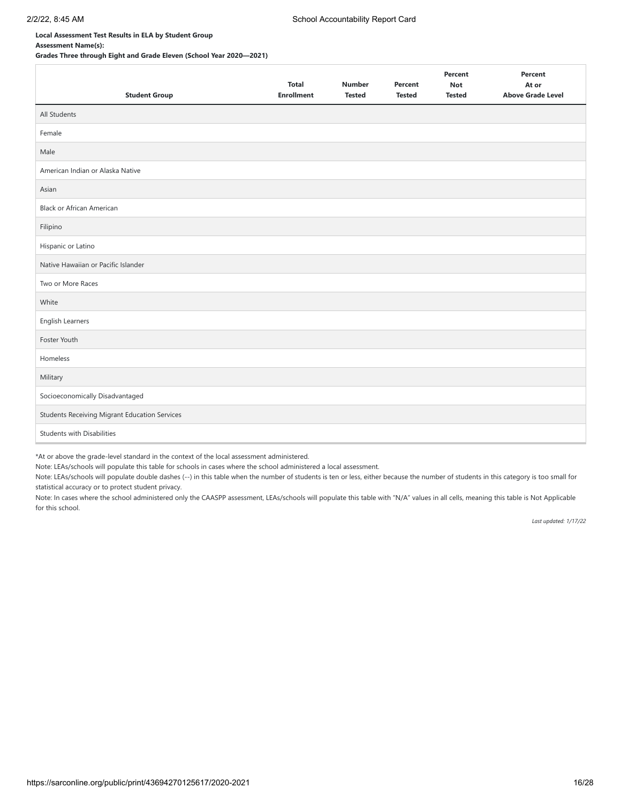**Local Assessment Test Results in ELA by Student Group**

## **Assessment Name(s):**

**Grades Three through Eight and Grade Eleven (School Year 2020—2021)**

| <b>Student Group</b>                          | <b>Total</b><br><b>Enrollment</b> | <b>Number</b><br><b>Tested</b> | Percent<br><b>Tested</b> | Percent<br><b>Not</b><br><b>Tested</b> | Percent<br>At or<br><b>Above Grade Level</b> |
|-----------------------------------------------|-----------------------------------|--------------------------------|--------------------------|----------------------------------------|----------------------------------------------|
| All Students                                  |                                   |                                |                          |                                        |                                              |
| Female                                        |                                   |                                |                          |                                        |                                              |
| Male                                          |                                   |                                |                          |                                        |                                              |
| American Indian or Alaska Native              |                                   |                                |                          |                                        |                                              |
| Asian                                         |                                   |                                |                          |                                        |                                              |
| <b>Black or African American</b>              |                                   |                                |                          |                                        |                                              |
| Filipino                                      |                                   |                                |                          |                                        |                                              |
| Hispanic or Latino                            |                                   |                                |                          |                                        |                                              |
| Native Hawaiian or Pacific Islander           |                                   |                                |                          |                                        |                                              |
| Two or More Races                             |                                   |                                |                          |                                        |                                              |
| White                                         |                                   |                                |                          |                                        |                                              |
| English Learners                              |                                   |                                |                          |                                        |                                              |
| Foster Youth                                  |                                   |                                |                          |                                        |                                              |
| Homeless                                      |                                   |                                |                          |                                        |                                              |
| Military                                      |                                   |                                |                          |                                        |                                              |
| Socioeconomically Disadvantaged               |                                   |                                |                          |                                        |                                              |
| Students Receiving Migrant Education Services |                                   |                                |                          |                                        |                                              |
| <b>Students with Disabilities</b>             |                                   |                                |                          |                                        |                                              |

\*At or above the grade-level standard in the context of the local assessment administered.

Note: LEAs/schools will populate this table for schools in cases where the school administered a local assessment.

Note: LEAs/schools will populate double dashes (--) in this table when the number of students is ten or less, either because the number of students in this category is too small for statistical accuracy or to protect student privacy.

Note: In cases where the school administered only the CAASPP assessment, LEAs/schools will populate this table with "N/A" values in all cells, meaning this table is Not Applicable for this school.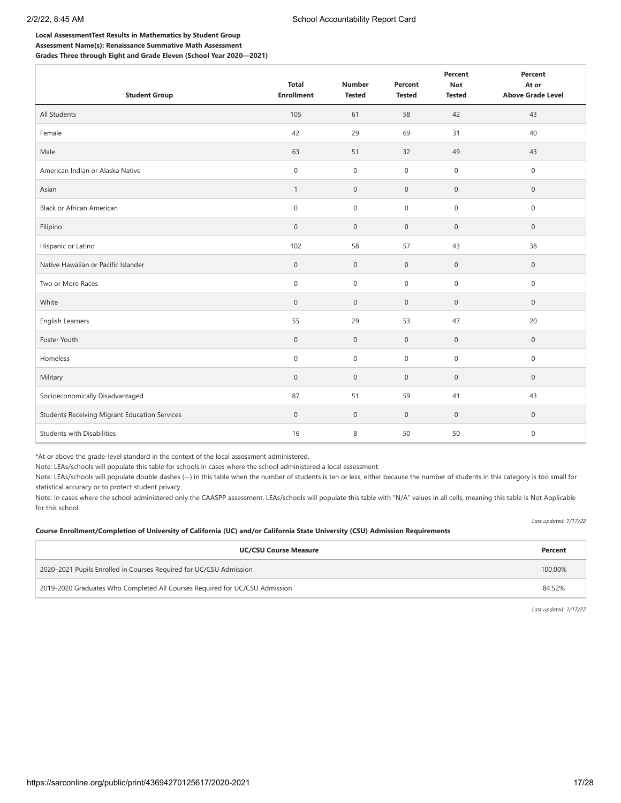## **Local AssessmentTest Results in Mathematics by Student Group Assessment Name(s): Renaissance Summative Math Assessment Grades Three through Eight and Grade Eleven (School Year 2020—2021)**

| <b>Student Group</b>                          | <b>Total</b><br><b>Enrollment</b> | <b>Number</b><br><b>Tested</b> | Percent<br><b>Tested</b> | Percent<br><b>Not</b><br><b>Tested</b> | Percent<br>At or<br><b>Above Grade Level</b> |
|-----------------------------------------------|-----------------------------------|--------------------------------|--------------------------|----------------------------------------|----------------------------------------------|
| All Students                                  | 105                               | 61                             | 58                       | 42                                     | 43                                           |
| Female                                        | 42                                | 29                             | 69                       | 31                                     | 40                                           |
| Male                                          | 63                                | 51                             | 32                       | 49                                     | 43                                           |
| American Indian or Alaska Native              | $\mathbf 0$                       | $\mathsf{O}$                   | $\mathsf 0$              | $\mathbf 0$                            | $\mathbf 0$                                  |
| Asian                                         | $\mathbf{1}$                      | $\mathbf 0$                    | $\mathsf{O}\xspace$      | $\mathbf 0$                            | $\mathbf 0$                                  |
| <b>Black or African American</b>              | $\mathbf 0$                       | $\mathsf{O}\xspace$            | $\mathsf 0$              | $\mathsf{O}\xspace$                    | $\mathsf{O}\xspace$                          |
| Filipino                                      | $\mathbf 0$                       | $\mathbf 0$                    | $\mathbf 0$              | $\mathbf 0$                            | $\mathbf 0$                                  |
| Hispanic or Latino                            | 102                               | 58                             | 57                       | 43                                     | 38                                           |
| Native Hawaiian or Pacific Islander           | $\mathsf{O}\xspace$               | $\mathbf 0$                    | $\mathbb O$              | $\mathsf{O}\xspace$                    | $\mathbf 0$                                  |
| Two or More Races                             | $\mathbf 0$                       | $\mathsf{O}\xspace$            | $\mathsf 0$              | $\mathsf{O}\xspace$                    | $\mathsf{O}\xspace$                          |
| White                                         | $\mathbf 0$                       | $\mathbf 0$                    | $\mathsf{O}\xspace$      | $\mathsf{O}\xspace$                    | $\mathbf 0$                                  |
| English Learners                              | 55                                | 29                             | 53                       | 47                                     | 20                                           |
| Foster Youth                                  | $\mathbb O$                       | $\mathbf 0$                    | $\mathbb O$              | $\mathbf 0$                            | $\mathsf{O}\xspace$                          |
| Homeless                                      | $\mathbf 0$                       | $\mathsf{O}$                   | $\mathsf 0$              | $\mathsf{O}\xspace$                    | $\mathbf 0$                                  |
| Military                                      | $\mathbf 0$                       | $\mathbf 0$                    | $\mathbf 0$              | $\mathbf 0$                            | $\mathbf 0$                                  |
| Socioeconomically Disadvantaged               | 87                                | 51                             | 59                       | 41                                     | 43                                           |
| Students Receiving Migrant Education Services | $\mathbf{0}$                      | $\mathbf 0$                    | $\mathbb O$              | $\mathbf{0}$                           | $\mathbf 0$                                  |
| <b>Students with Disabilities</b>             | 16                                | 8                              | 50                       | 50                                     | $\mathbf 0$                                  |

\*At or above the grade-level standard in the context of the local assessment administered.

Note: LEAs/schools will populate this table for schools in cases where the school administered a local assessment.

Note: LEAs/schools will populate double dashes (--) in this table when the number of students is ten or less, either because the number of students in this category is too small for statistical accuracy or to protect student privacy.

Note: In cases where the school administered only the CAASPP assessment, LEAs/schools will populate this table with "N/A" values in all cells, meaning this table is Not Applicable for this school.

## **Course Enrollment/Completion of University of California (UC) and/or California State University (CSU) Admission Requirements**

| <b>UC/CSU Course Measure</b>                                                | Percent |
|-----------------------------------------------------------------------------|---------|
| 2020-2021 Pupils Enrolled in Courses Required for UC/CSU Admission          | 100.00% |
| 2019-2020 Graduates Who Completed All Courses Required for UC/CSU Admission | 84.52%  |

*Last updated: 1/17/22*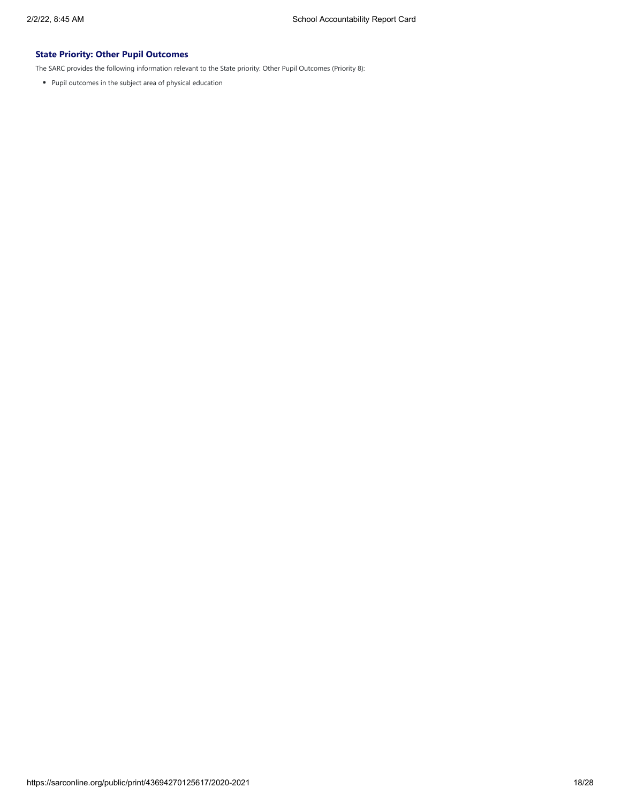# **State Priority: Other Pupil Outcomes**

The SARC provides the following information relevant to the State priority: Other Pupil Outcomes (Priority 8):

Pupil outcomes in the subject area of physical education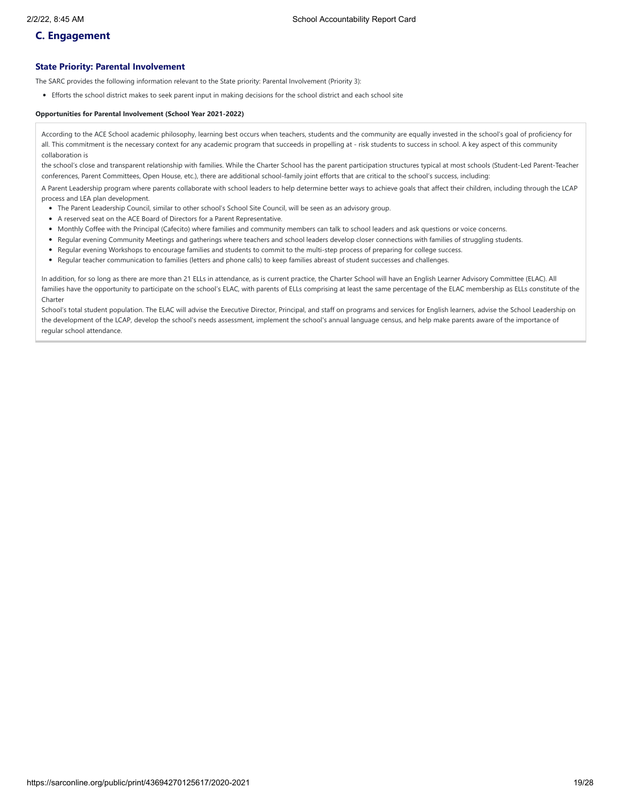# **C. Engagement**

## **State Priority: Parental Involvement**

The SARC provides the following information relevant to the State priority: Parental Involvement (Priority 3):

Efforts the school district makes to seek parent input in making decisions for the school district and each school site

#### **Opportunities for Parental Involvement (School Year 2021-2022)**

According to the ACE School academic philosophy, learning best occurs when teachers, students and the community are equally invested in the school's goal of proficiency for all. This commitment is the necessary context for any academic program that succeeds in propelling at - risk students to success in school. A key aspect of this community collaboration is

the school's close and transparent relationship with families. While the Charter School has the parent participation structures typical at most schools (Student-Led Parent-Teacher conferences, Parent Committees, Open House, etc.), there are additional school-family joint efforts that are critical to the school's success, including:

A Parent Leadership program where parents collaborate with school leaders to help determine better ways to achieve goals that affect their children, including through the LCAP process and LEA plan development.

- The Parent Leadership Council, similar to other school's School Site Council, will be seen as an advisory group.
- A reserved seat on the ACE Board of Directors for a Parent Representative.
- Monthly Coffee with the Principal (Cafecito) where families and community members can talk to school leaders and ask questions or voice concerns.
- Regular evening Community Meetings and gatherings where teachers and school leaders develop closer connections with families of struggling students.
- Regular evening Workshops to encourage families and students to commit to the multi-step process of preparing for college success.
- Regular teacher communication to families (letters and phone calls) to keep families abreast of student successes and challenges.

In addition, for so long as there are more than 21 ELLs in attendance, as is current practice, the Charter School will have an English Learner Advisory Committee (ELAC). All families have the opportunity to participate on the school's ELAC, with parents of ELLs comprising at least the same percentage of the ELAC membership as ELLs constitute of the Charter

School's total student population. The ELAC will advise the Executive Director, Principal, and staff on programs and services for English learners, advise the School Leadership on the development of the LCAP, develop the school's needs assessment, implement the school's annual language census, and help make parents aware of the importance of regular school attendance.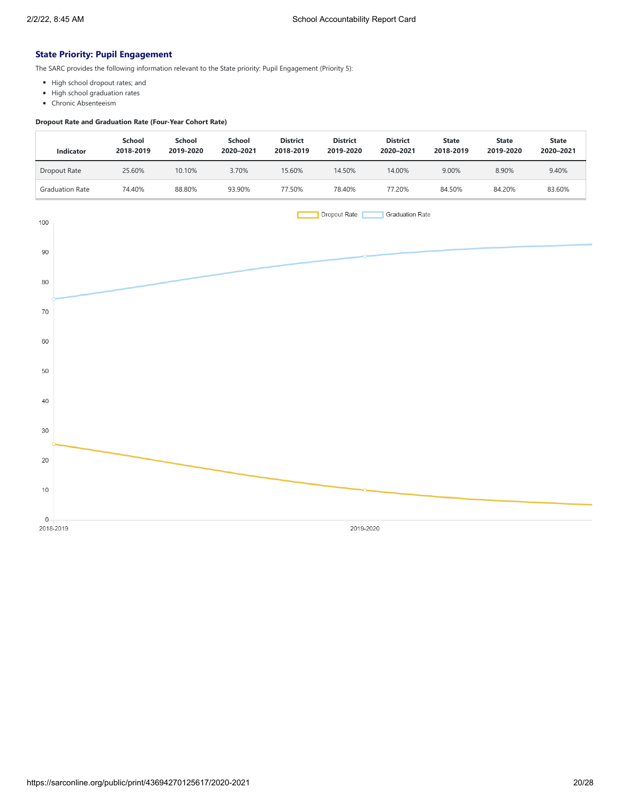# **State Priority: Pupil Engagement**

The SARC provides the following information relevant to the State priority: Pupil Engagement (Priority 5):

- High school dropout rates; and
- High school graduation rates
- Chronic Absenteeism

## **Dropout Rate and Graduation Rate (Four-Year Cohort Rate)**

| Indicator              | School<br>2018-2019 | School<br>2019-2020 | School<br>2020-2021 | <b>District</b><br>2018-2019 | <b>District</b><br>2019-2020 | <b>District</b><br>2020-2021 | <b>State</b><br>2018-2019 | <b>State</b><br>2019-2020 | <b>State</b><br>2020-2021 |
|------------------------|---------------------|---------------------|---------------------|------------------------------|------------------------------|------------------------------|---------------------------|---------------------------|---------------------------|
| Dropout Rate           | 25.60%              | 10.10%              | 3.70%               | 15.60%                       | 14.50%                       | 14.00%                       | 9.00%                     | 8.90%                     | 9.40%                     |
| <b>Graduation Rate</b> | 74.40%              | 88.80%              | 93.90%              | 77.50%                       | 78.40%                       | 77.20%                       | 84.50%                    | 84.20%                    | 83.60%                    |
| 100                    |                     |                     |                     |                              | Dropout Rate                 | Graduation Rate              |                           |                           |                           |
| 90                     |                     |                     |                     |                              |                              |                              |                           |                           |                           |
| 80                     |                     |                     |                     |                              |                              |                              |                           |                           |                           |
| 70                     |                     |                     |                     |                              |                              |                              |                           |                           |                           |
| 60                     |                     |                     |                     |                              |                              |                              |                           |                           |                           |
| 50                     |                     |                     |                     |                              |                              |                              |                           |                           |                           |
| $40\,$                 |                     |                     |                     |                              |                              |                              |                           |                           |                           |
| $30\,$                 |                     |                     |                     |                              |                              |                              |                           |                           |                           |
| 20                     |                     |                     |                     |                              |                              |                              |                           |                           |                           |
| $10$                   |                     |                     |                     |                              |                              |                              |                           |                           |                           |
| $0 -$                  |                     |                     |                     |                              |                              |                              |                           |                           |                           |
| 2018-2019              |                     |                     |                     |                              | 2019-2020                    |                              |                           |                           |                           |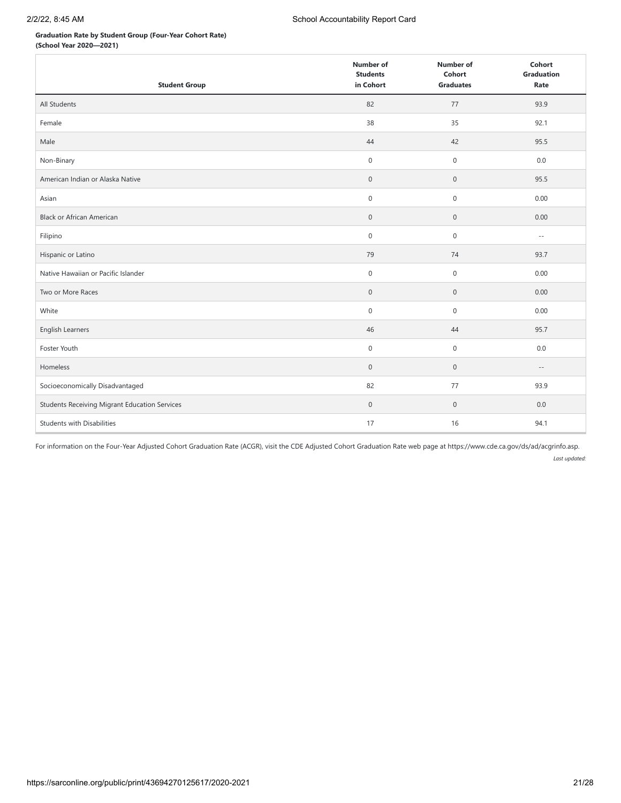# **Graduation Rate by Student Group (Four-Year Cohort Rate)**

**(School Year 2020—2021)**

|                                               | Number of<br><b>Students</b> | <b>Number of</b><br>Cohort | Cohort<br>Graduation |
|-----------------------------------------------|------------------------------|----------------------------|----------------------|
| <b>Student Group</b>                          | in Cohort                    | <b>Graduates</b>           | Rate                 |
| All Students                                  | 82                           | 77                         | 93.9                 |
| Female                                        | 38                           | 35                         | 92.1                 |
| Male                                          | 44                           | 42                         | 95.5                 |
| Non-Binary                                    | $\mathbf 0$                  | $\mathbf 0$                | 0.0                  |
| American Indian or Alaska Native              | $\mathbf 0$                  | $\mathbf 0$                | 95.5                 |
| Asian                                         | $\mathbf 0$                  | $\mathbf 0$                | 0.00                 |
| <b>Black or African American</b>              | $\mathbf 0$                  | $\mathbf 0$                | 0.00                 |
| Filipino                                      | $\mathbf 0$                  | $\mathbf 0$                | $\sim$ $-$           |
| Hispanic or Latino                            | 79                           | 74                         | 93.7                 |
| Native Hawaiian or Pacific Islander           | $\mathbf 0$                  | $\mathbf 0$                | 0.00                 |
| Two or More Races                             | $\mathbf 0$                  | $\mathbf 0$                | 0.00                 |
| White                                         | $\mathbf 0$                  | $\mathbf 0$                | 0.00                 |
| English Learners                              | 46                           | 44                         | 95.7                 |
| Foster Youth                                  | $\mathbf 0$                  | $\mathbf 0$                | 0.0                  |
| Homeless                                      | $\mathsf{O}\xspace$          | $\mathbf 0$                | $\sim$ $-$           |
| Socioeconomically Disadvantaged               | 82                           | 77                         | 93.9                 |
| Students Receiving Migrant Education Services | $\mathbf 0$                  | $\mathbf 0$                | 0.0                  |
| <b>Students with Disabilities</b>             | 17                           | 16                         | 94.1                 |

For information on the Four-Year Adjusted Cohort Graduation Rate (ACGR), visit the CDE Adjusted Cohort Graduation Rate web page at https://www.cde.ca.gov/ds/ad/acgrinfo.asp.

*Last updated:*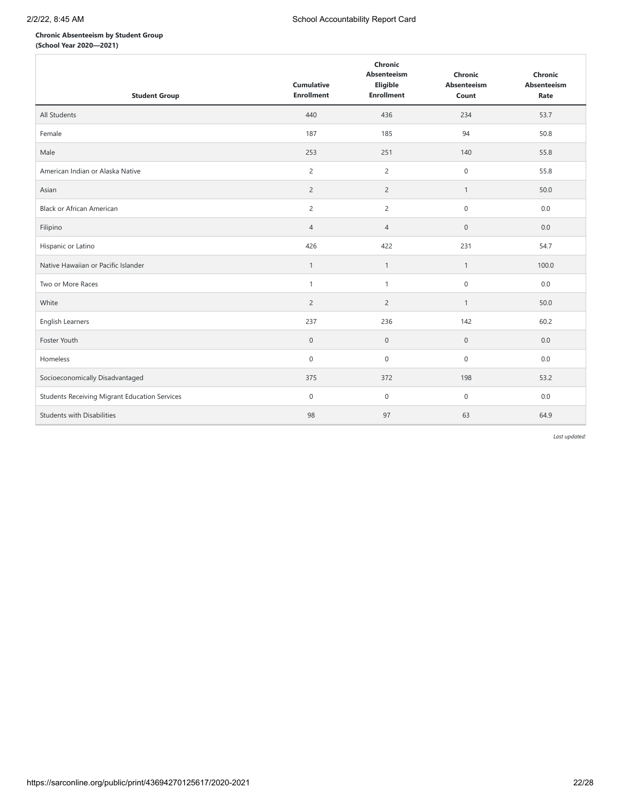## **Chronic Absenteeism by Student Group (School Year 2020—2021)**

| <b>Student Group</b>                                 | <b>Cumulative</b><br><b>Enrollment</b> | Chronic<br><b>Absenteeism</b><br>Eligible<br><b>Enrollment</b> | Chronic<br><b>Absenteeism</b><br>Count | Chronic<br><b>Absenteeism</b><br>Rate |
|------------------------------------------------------|----------------------------------------|----------------------------------------------------------------|----------------------------------------|---------------------------------------|
| All Students                                         | 440                                    | 436                                                            | 234                                    | 53.7                                  |
| Female                                               | 187                                    | 185                                                            | 94                                     | 50.8                                  |
| Male                                                 | 253                                    | 251                                                            | 140                                    | 55.8                                  |
| American Indian or Alaska Native                     | $\overline{2}$                         | $\overline{c}$                                                 | $\mathbf 0$                            | 55.8                                  |
| Asian                                                | $\overline{2}$                         | $\overline{2}$                                                 | $\mathbf{1}$                           | 50.0                                  |
| <b>Black or African American</b>                     | $\overline{c}$                         | $\overline{c}$                                                 | $\mathbf 0$                            | $0.0\,$                               |
| Filipino                                             | $\sqrt{4}$                             | $\overline{4}$                                                 | $\boldsymbol{0}$                       | 0.0                                   |
| Hispanic or Latino                                   | 426                                    | 422                                                            | 231                                    | 54.7                                  |
| Native Hawaiian or Pacific Islander                  | $\mathbf{1}$                           | $\mathbf{1}$                                                   | $\mathbf{1}$                           | 100.0                                 |
| Two or More Races                                    | $\mathbf{1}$                           | $\mathbf{1}$                                                   | $\mathsf{O}\xspace$                    | 0.0                                   |
| White                                                | $\overline{c}$                         | $\overline{c}$                                                 | $\mathbf{1}$                           | 50.0                                  |
| English Learners                                     | 237                                    | 236                                                            | 142                                    | 60.2                                  |
| Foster Youth                                         | $\mathbf 0$                            | $\mathbf 0$                                                    | $\mathbf 0$                            | 0.0                                   |
| Homeless                                             | 0                                      | $\mathsf 0$                                                    | $\mathsf{O}\xspace$                    | 0.0                                   |
| Socioeconomically Disadvantaged                      | 375                                    | 372                                                            | 198                                    | 53.2                                  |
| <b>Students Receiving Migrant Education Services</b> | $\mathbf 0$                            | $\mathbf 0$                                                    | $\mathbf 0$                            | 0.0                                   |
| <b>Students with Disabilities</b>                    | 98                                     | 97                                                             | 63                                     | 64.9                                  |

*Last updated:*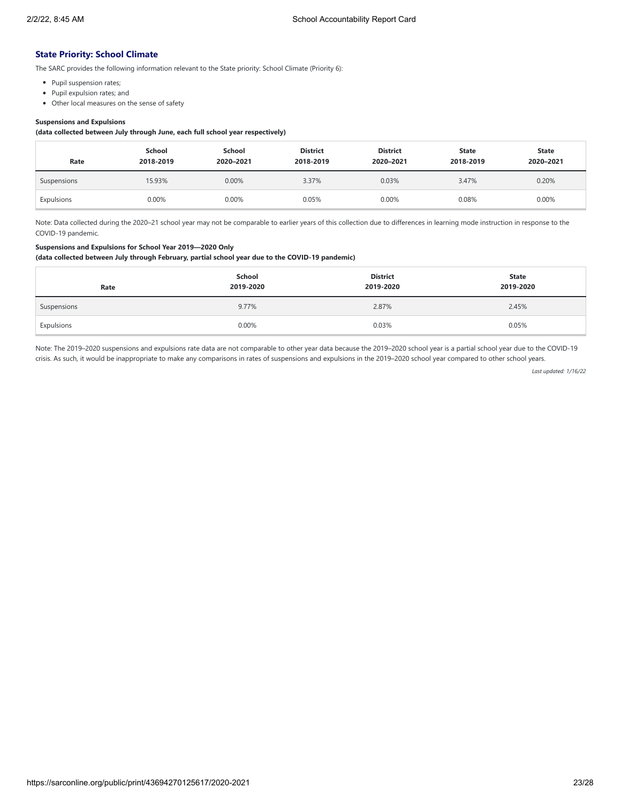# **State Priority: School Climate**

The SARC provides the following information relevant to the State priority: School Climate (Priority 6):

- Pupil suspension rates;
- Pupil expulsion rates; and
- Other local measures on the sense of safety

## **Suspensions and Expulsions**

**(data collected between July through June, each full school year respectively)**

| Rate        | School<br>2018-2019 | School<br>2020-2021 | <b>District</b><br>2018-2019 | <b>District</b><br>2020-2021 | <b>State</b><br>2018-2019 | <b>State</b><br>2020-2021 |
|-------------|---------------------|---------------------|------------------------------|------------------------------|---------------------------|---------------------------|
| Suspensions | 15.93%              | 0.00%               | 3.37%                        | 0.03%                        | 3.47%                     | 0.20%                     |
| Expulsions  | 0.00%               | 0.00%               | 0.05%                        | 0.00%                        | 0.08%                     | 0.00%                     |

Note: Data collected during the 2020–21 school year may not be comparable to earlier years of this collection due to differences in learning mode instruction in response to the COVID-19 pandemic.

## **Suspensions and Expulsions for School Year 2019—2020 Only**

**(data collected between July through February, partial school year due to the COVID-19 pandemic)**

| Rate        | School<br>2019-2020 | <b>District</b><br>2019-2020 | <b>State</b><br>2019-2020 |
|-------------|---------------------|------------------------------|---------------------------|
| Suspensions | 9.77%               | 2.87%                        | 2.45%                     |
| Expulsions  | 0.00%               | 0.03%                        | 0.05%                     |

Note: The 2019–2020 suspensions and expulsions rate data are not comparable to other year data because the 2019–2020 school year is a partial school year due to the COVID-19 crisis. As such, it would be inappropriate to make any comparisons in rates of suspensions and expulsions in the 2019–2020 school year compared to other school years.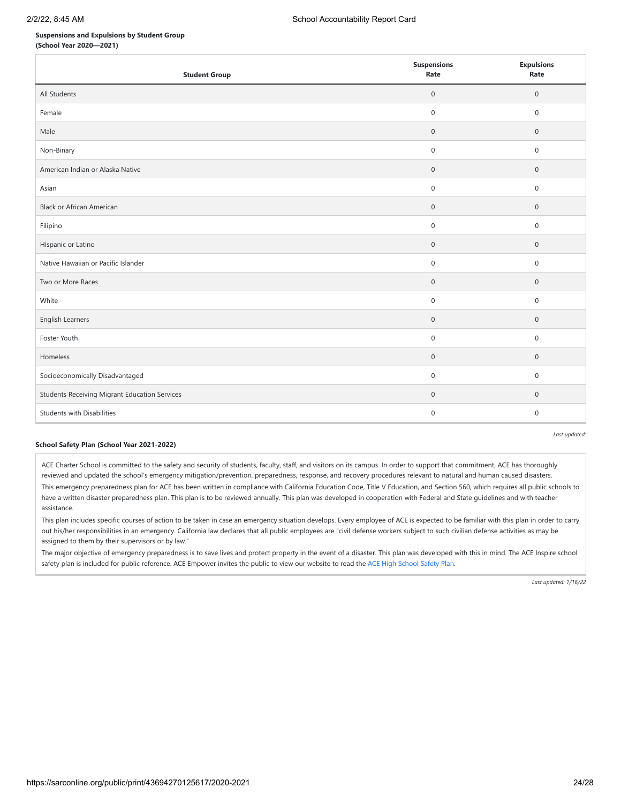# **Suspensions and Expulsions by Student Group**

**(School Year 2020—2021)**

| <b>Student Group</b>                          | <b>Suspensions</b><br>Rate | <b>Expulsions</b><br>Rate |
|-----------------------------------------------|----------------------------|---------------------------|
| All Students                                  | $\mathsf{O}\xspace$        | $\mathbf 0$               |
| Female                                        | $\boldsymbol{0}$           | $\bf 0$                   |
| Male                                          | $\boldsymbol{0}$           | $\mathbf 0$               |
| Non-Binary                                    | $\boldsymbol{0}$           | $\bf 0$                   |
| American Indian or Alaska Native              | $\mathbb O$                | $\mathbf 0$               |
| Asian                                         | $\mathsf{O}\xspace$        | $\mathbf 0$               |
| <b>Black or African American</b>              | $\mathsf{O}\xspace$        | $\mathbf 0$               |
| Filipino                                      | $\boldsymbol{0}$           | $\bf 0$                   |
| Hispanic or Latino                            | $\mathbb O$                | $\mathbf 0$               |
| Native Hawaiian or Pacific Islander           | $\boldsymbol{0}$           | $\bf 0$                   |
| Two or More Races                             | $\boldsymbol{0}$           | $\mathbf 0$               |
| White                                         | $\boldsymbol{0}$           | $\mathsf{O}\xspace$       |
| English Learners                              | $\mathbf 0$                | $\mathbf 0$               |
| Foster Youth                                  | $\mathsf{O}\xspace$        | $\mathbf 0$               |
| Homeless                                      | $\mathbf 0$                | $\mathbf 0$               |
| Socioeconomically Disadvantaged               | $\mathbf 0$                | $\boldsymbol{0}$          |
| Students Receiving Migrant Education Services | $\mathbf 0$                | $\mathbf 0$               |
| <b>Students with Disabilities</b>             | $\mathbf 0$                | $\mathbf 0$               |
|                                               |                            | Last undated:             |

## **School Safety Plan (School Year 2021-2022)**

ACE Charter School is committed to the safety and security of students, faculty, staff, and visitors on its campus. In order to support that commitment, ACE has thoroughly reviewed and updated the school's emergency mitigation/prevention, preparedness, response, and recovery procedures relevant to natural and human caused disasters.

This emergency preparedness plan for ACE has been written in compliance with California Education Code, Title V Education, and Section 560, which requires all public schools to have a written disaster preparedness plan. This plan is to be reviewed annually. This plan was developed in cooperation with Federal and State guidelines and with teacher assistance.

This plan includes specific courses of action to be taken in case an emergency situation develops. Every employee of ACE is expected to be familiar with this plan in order to carry out his/her responsibilities in an emergency. California law declares that all public employees are "civil defense workers subject to such civilian defense activities as may be assigned to them by their supervisors or by law."

The major objective of emergency preparedness is to save lives and protect property in the event of a disaster. This plan was developed with this in mind. The ACE Inspire school safety plan is included for public reference. ACE Empower invites the public to view our website to read the ACE High [School](https://docs.google.com/document/d/1JmNgod-j4fyiSRg9SWmKvpmw3R1HXJ0D/edit?usp=sharing&ouid=109644233424772644339&rtpof=true&sd=true) Safety Plan.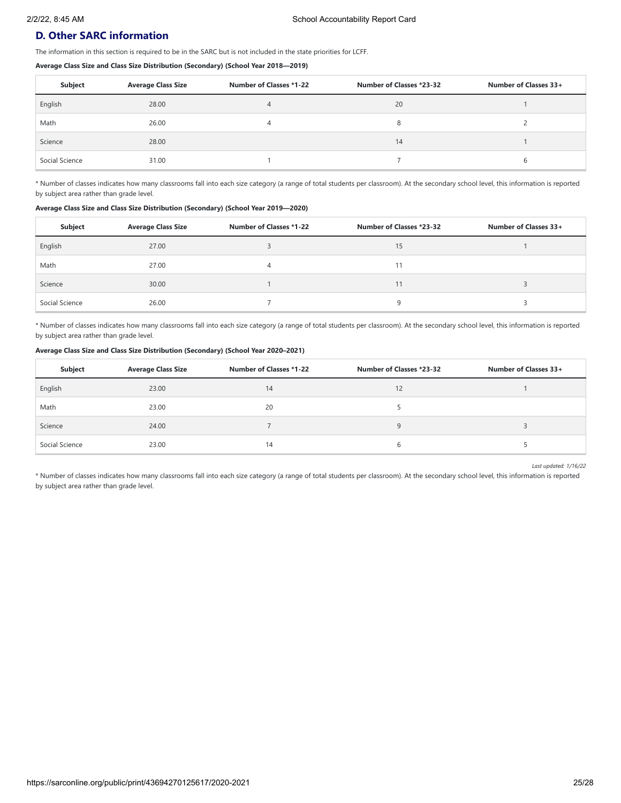# **D. Other SARC information**

The information in this section is required to be in the SARC but is not included in the state priorities for LCFF.

**Average Class Size and Class Size Distribution (Secondary) (School Year 2018—2019)**

| Subject        | <b>Average Class Size</b> | Number of Classes *1-22<br>Number of Classes *23-32 |    | Number of Classes 33+ |
|----------------|---------------------------|-----------------------------------------------------|----|-----------------------|
| English        | 28.00                     | 4                                                   | 20 |                       |
| Math           | 26.00                     | 4                                                   |    |                       |
| Science        | 28.00                     |                                                     | 14 |                       |
| Social Science | 31.00                     |                                                     |    | h                     |

\* Number of classes indicates how many classrooms fall into each size category (a range of total students per classroom). At the secondary school level, this information is reported by subject area rather than grade level.

### **Average Class Size and Class Size Distribution (Secondary) (School Year 2019—2020)**

| <b>Subject</b> | <b>Number of Classes *1-22</b><br><b>Average Class Size</b> |   | Number of Classes *23-32 | Number of Classes 33+ |  |
|----------------|-------------------------------------------------------------|---|--------------------------|-----------------------|--|
| English        | 27.00                                                       |   | 15                       |                       |  |
| Math           | 27.00                                                       | 4 | 11                       |                       |  |
| Science        | 30.00                                                       |   | 11                       |                       |  |
| Social Science | 26.00                                                       |   |                          |                       |  |

\* Number of classes indicates how many classrooms fall into each size category (a range of total students per classroom). At the secondary school level, this information is reported by subject area rather than grade level.

**Average Class Size and Class Size Distribution (Secondary) (School Year 2020–2021)**

| Subject        | <b>Average Class Size</b> | <b>Number of Classes *1-22</b> | Number of Classes *23-32<br><b>Number of Classes 33+</b> |  |
|----------------|---------------------------|--------------------------------|----------------------------------------------------------|--|
| English        | 23.00                     | 14                             | 12                                                       |  |
| Math           | 23.00                     | 20                             |                                                          |  |
| Science        | 24.00                     |                                |                                                          |  |
| Social Science | 23.00                     | 14                             |                                                          |  |

*Last updated: 1/16/22*

\* Number of classes indicates how many classrooms fall into each size category (a range of total students per classroom). At the secondary school level, this information is reported by subject area rather than grade level.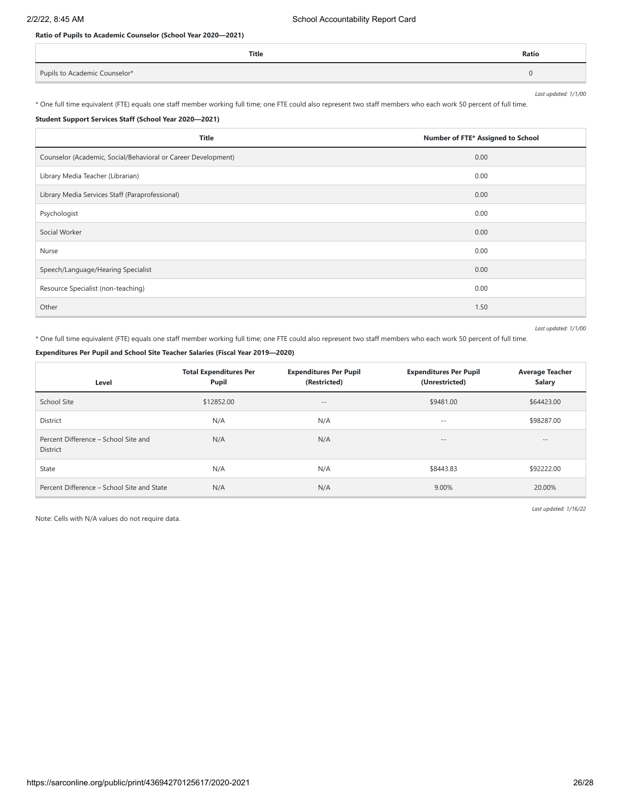## **Ratio of Pupils to Academic Counselor (School Year 2020—2021)**

|                               | Title | Ratio |
|-------------------------------|-------|-------|
| Pupils to Academic Counselor* |       |       |

*Last updated: 1/1/00*

\* One full time equivalent (FTE) equals one staff member working full time; one FTE could also represent two staff members who each work 50 percent of full time.

## **Student Support Services Staff (School Year 2020—2021)**

| <b>Title</b>                                                  | Number of FTE* Assigned to School |
|---------------------------------------------------------------|-----------------------------------|
| Counselor (Academic, Social/Behavioral or Career Development) | 0.00                              |
| Library Media Teacher (Librarian)                             | 0.00                              |
| Library Media Services Staff (Paraprofessional)               | 0.00                              |
| Psychologist                                                  | 0.00                              |
| Social Worker                                                 | 0.00                              |
| Nurse                                                         | 0.00                              |
| Speech/Language/Hearing Specialist                            | 0.00                              |
| Resource Specialist (non-teaching)                            | 0.00                              |
| Other                                                         | 1.50                              |

*Last updated: 1/1/00*

\* One full time equivalent (FTE) equals one staff member working full time; one FTE could also represent two staff members who each work 50 percent of full time.

# **Expenditures Per Pupil and School Site Teacher Salaries (Fiscal Year 2019—2020)**

| Level                                            | <b>Total Expenditures Per</b><br>Pupil | <b>Expenditures Per Pupil</b><br>(Restricted) | <b>Expenditures Per Pupil</b><br>(Unrestricted) | <b>Average Teacher</b><br>Salary |
|--------------------------------------------------|----------------------------------------|-----------------------------------------------|-------------------------------------------------|----------------------------------|
| School Site                                      | \$12852.00                             | $\frac{1}{2}$                                 | \$9481.00                                       | \$64423.00                       |
| District                                         | N/A                                    | N/A                                           | $\sim$ $-$                                      | \$98287.00                       |
| Percent Difference - School Site and<br>District | N/A                                    | N/A                                           | $- -$                                           | $- -$                            |
| State                                            | N/A                                    | N/A                                           | \$8443.83                                       | \$92222.00                       |
| Percent Difference - School Site and State       | N/A                                    | N/A                                           | 9.00%                                           | 20.00%                           |

Note: Cells with N/A values do not require data.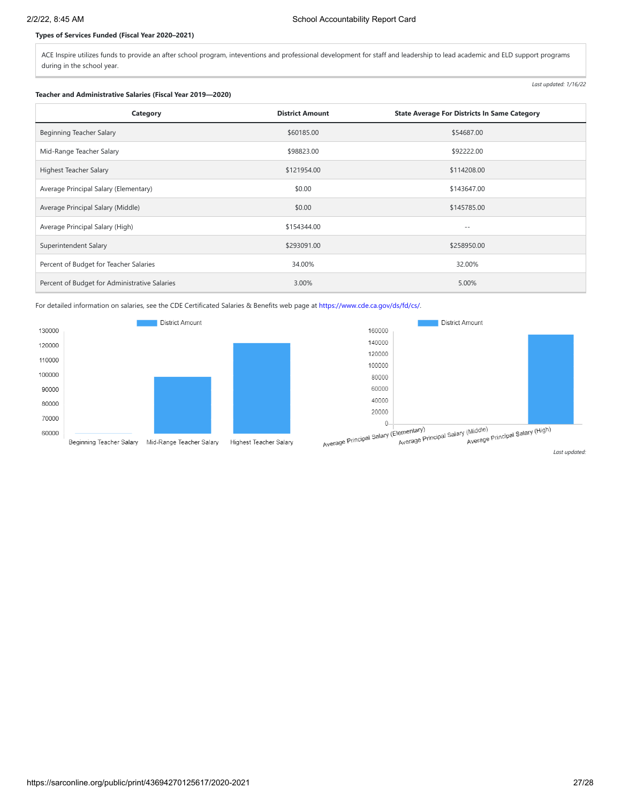#### **Types of Services Funded (Fiscal Year 2020–2021)**

ACE Inspire utilizes funds to provide an after school program, inteventions and professional development for staff and leadership to lead academic and ELD support programs during in the school year.

## **Teacher and Administrative Salaries (Fiscal Year 2019—2020)**

*Last updated: 1/16/22*

| Category                                      | <b>District Amount</b> | <b>State Average For Districts In Same Category</b> |
|-----------------------------------------------|------------------------|-----------------------------------------------------|
| Beginning Teacher Salary                      | \$60185.00             | \$54687.00                                          |
| Mid-Range Teacher Salary                      | \$98823.00             | \$92222.00                                          |
| <b>Highest Teacher Salary</b>                 | \$121954.00            | \$114208.00                                         |
| Average Principal Salary (Elementary)         | \$0.00                 | \$143647.00                                         |
| Average Principal Salary (Middle)             | \$0.00                 | \$145785.00                                         |
| Average Principal Salary (High)               | \$154344.00            | $- -$                                               |
| Superintendent Salary                         | \$293091.00            | \$258950.00                                         |
| Percent of Budget for Teacher Salaries        | 34.00%                 | 32.00%                                              |
| Percent of Budget for Administrative Salaries | 3.00%                  | 5.00%                                               |

For detailed information on salaries, see the CDE Certificated Salaries & Benefits web page at <https://www.cde.ca.gov/ds/fd/cs/>.





*Last updated:*

Beginning Teacher Salary Mid-Range Teacher Salary

Highest Teacher Salary

https://sarconline.org/public/print/43694270125617/2020-2021 27/28